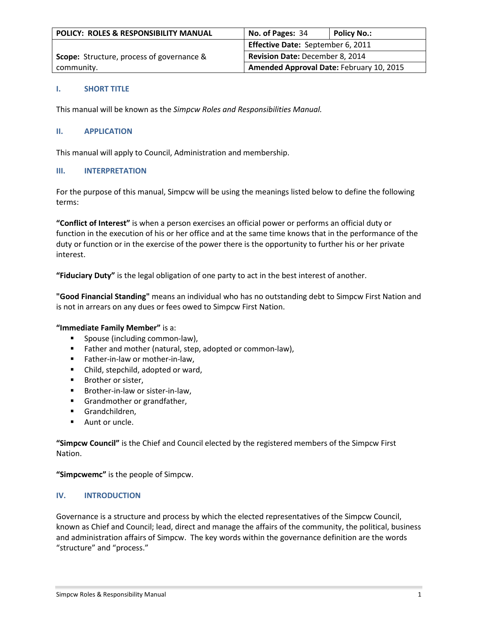| POLICY: ROLES & RESPONSIBILITY MANUAL            | No. of Pages: 34                         | Policy No.: |
|--------------------------------------------------|------------------------------------------|-------------|
|                                                  | Effective Date: September 6, 2011        |             |
| <b>Scope:</b> Structure, process of governance & | Revision Date: December 8, 2014          |             |
| community.                                       | Amended Approval Date: February 10, 2015 |             |

### **I. SHORT TITLE**

This manual will be known as the *Simpcw Roles and Responsibilities Manual.* 

## **II. APPLICATION**

This manual will apply to Council, Administration and membership.

### **III. INTERPRETATION**

For the purpose of this manual, Simpcw will be using the meanings listed below to define the following terms:

**"Conflict of Interest"** is when a person exercises an official power or performs an official duty or function in the execution of his or her office and at the same time knows that in the performance of the duty or function or in the exercise of the power there is the opportunity to further his or her private interest.

**"Fiduciary Duty"** is the legal obligation of one party to act in the best interest of another.

**"Good Financial Standing"** means an individual who has no outstanding debt to Simpcw First Nation and is not in arrears on any dues or fees owed to Simpcw First Nation.

### **"Immediate Family Member"** is a:

- **Spouse (including common-law),**
- **Father and mother (natural, step, adopted or common-law),**
- Father-in-law or mother-in-law,
- Child, stepchild, adopted or ward,
- **Brother or sister,**
- **Brother-in-law or sister-in-law,**
- **Grandmother or grandfather,**
- Grandchildren,
- **Aunt or uncle.**

**"Simpcw Council"** is the Chief and Council elected by the registered members of the Simpcw First Nation.

**"Simpcwemc"** is the people of Simpcw.

### **IV. INTRODUCTION**

Governance is a structure and process by which the elected representatives of the Simpcw Council, known as Chief and Council; lead, direct and manage the affairs of the community, the political, business and administration affairs of Simpcw. The key words within the governance definition are the words "structure" and "process."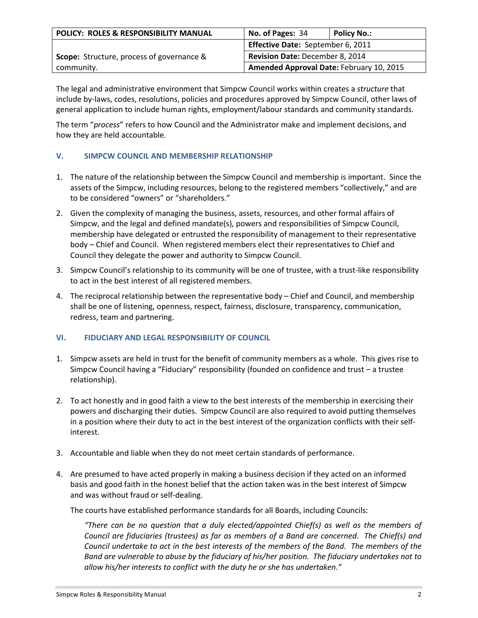| POLICY: ROLES & RESPONSIBILITY MANUAL     | No. of Pages: 34                         | <b>Policy No.:</b> |
|-------------------------------------------|------------------------------------------|--------------------|
|                                           | Effective Date: September 6, 2011        |                    |
| Scope: Structure, process of governance & | Revision Date: December 8, 2014          |                    |
| community.                                | Amended Approval Date: February 10, 2015 |                    |

The legal and administrative environment that Simpcw Council works within creates a *structure* that include by-laws, codes, resolutions, policies and procedures approved by Simpcw Council, other laws of general application to include human rights, employment/labour standards and community standards.

The term "*process*" refers to how Council and the Administrator make and implement decisions, and how they are held accountable.

# **V. SIMPCW COUNCIL AND MEMBERSHIP RELATIONSHIP**

- 1. The nature of the relationship between the Simpcw Council and membership is important. Since the assets of the Simpcw, including resources, belong to the registered members "collectively," and are to be considered "owners" or "shareholders."
- 2. Given the complexity of managing the business, assets, resources, and other formal affairs of Simpcw, and the legal and defined mandate(s), powers and responsibilities of Simpcw Council, membership have delegated or entrusted the responsibility of management to their representative body – Chief and Council. When registered members elect their representatives to Chief and Council they delegate the power and authority to Simpcw Council.
- 3. Simpcw Council's relationship to its community will be one of trustee, with a trust-like responsibility to act in the best interest of all registered members.
- 4. The reciprocal relationship between the representative body Chief and Council, and membership shall be one of listening, openness, respect, fairness, disclosure, transparency, communication, redress, team and partnering.

# **VI. FIDUCIARY AND LEGAL RESPONSIBILITY OF COUNCIL**

- 1. Simpcw assets are held in trust for the benefit of community members as a whole. This gives rise to Simpcw Council having a "Fiduciary" responsibility (founded on confidence and trust – a trustee relationship).
- 2. To act honestly and in good faith a view to the best interests of the membership in exercising their powers and discharging their duties. Simpcw Council are also required to avoid putting themselves in a position where their duty to act in the best interest of the organization conflicts with their selfinterest.
- 3. Accountable and liable when they do not meet certain standards of performance.
- 4. Are presumed to have acted properly in making a business decision if they acted on an informed basis and good faith in the honest belief that the action taken was in the best interest of Simpcw and was without fraud or self-dealing.

The courts have established performance standards for all Boards, including Councils:

*"There can be no question that a duly elected/appointed Chief(s) as well as the members of Council are fiduciaries (trustees) as far as members of a Band are concerned. The Chief(s) and Council undertake to act in the best interests of the members of the Band. The members of the Band are vulnerable to abuse by the fiduciary of his/her position. The fiduciary undertakes not to allow his/her interests to conflict with the duty he or she has undertaken."*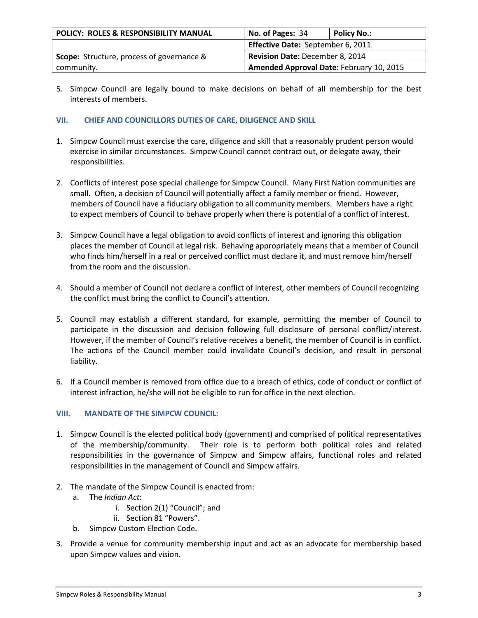| POLICY: ROLES & RESPONSIBILITY MANUAL            | No. of Pages: 34                         | Policy No.: |
|--------------------------------------------------|------------------------------------------|-------------|
|                                                  | Effective Date: September 6, 2011        |             |
| <b>Scope:</b> Structure, process of governance & | Revision Date: December 8, 2014          |             |
| community.                                       | Amended Approval Date: February 10, 2015 |             |

5. Simpcw Council are legally bound to make decisions on behalf of all membership for the best interests of members.

## **VII. CHIEF AND COUNCILLORS DUTIES OF CARE, DILIGENCE AND SKILL**

- 1. Simpcw Council must exercise the care, diligence and skill that a reasonably prudent person would exercise in similar circumstances. Simpcw Council cannot contract out, or delegate away, their responsibilities.
- 2. Conflicts of interest pose special challenge for Simpcw Council. Many First Nation communities are small. Often, a decision of Council will potentially affect a family member or friend. However, members of Council have a fiduciary obligation to all community members. Members have a right to expect members of Council to behave properly when there is potential of a conflict of interest.
- 3. Simpcw Council have a legal obligation to avoid conflicts of interest and ignoring this obligation places the member of Council at legal risk. Behaving appropriately means that a member of Council who finds him/herself in a real or perceived conflict must declare it, and must remove him/herself from the room and the discussion.
- 4. Should a member of Council not declare a conflict of interest, other members of Council recognizing the conflict must bring the conflict to Council's attention.
- 5. Council may establish a different standard, for example, permitting the member of Council to participate in the discussion and decision following full disclosure of personal conflict/interest. However, if the member of Council's relative receives a benefit, the member of Council is in conflict. The actions of the Council member could invalidate Council's decision, and result in personal liability.
- 6. If a Council member is removed from office due to a breach of ethics, code of conduct or conflict of interest infraction, he/she will not be eligible to run for office in the next election.

### **VIII. MANDATE OF THE SIMPCW COUNCIL:**

- 1. Simpcw Council is the elected political body (government) and comprised of political representatives of the membership/community. Their role is to perform both political roles and related responsibilities in the governance of Simpcw and Simpcw affairs, functional roles and related responsibilities in the management of Council and Simpcw affairs.
- 2. The mandate of the Simpcw Council is enacted from:
	- a. The *Indian Act*:
		- i. Section 2(1) "Council"; and
		- ii. Section 81 "Powers".
	- b. Simpcw Custom Election Code.
- 3. Provide a venue for community membership input and act as an advocate for membership based upon Simpcw values and vision.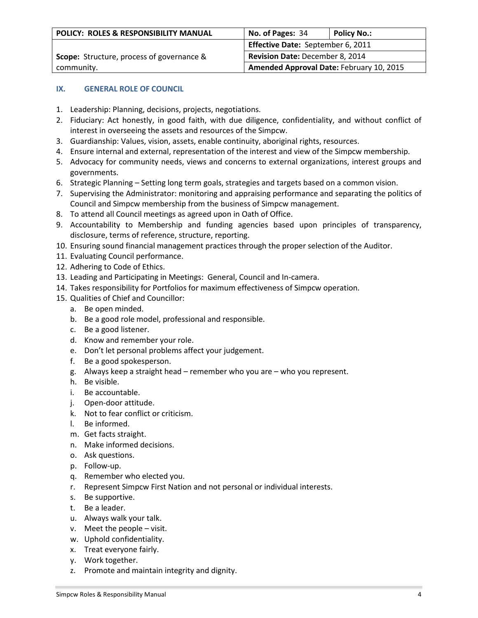| POLICY: ROLES & RESPONSIBILITY MANUAL            | No. of Pages: 34                         | <b>Policy No.:</b> |
|--------------------------------------------------|------------------------------------------|--------------------|
|                                                  | Effective Date: September 6, 2011        |                    |
| <b>Scope:</b> Structure, process of governance & | <b>Revision Date: December 8, 2014</b>   |                    |
| community.                                       | Amended Approval Date: February 10, 2015 |                    |

### **IX. GENERAL ROLE OF COUNCIL**

- 1. Leadership: Planning, decisions, projects, negotiations.
- 2. Fiduciary: Act honestly, in good faith, with due diligence, confidentiality, and without conflict of interest in overseeing the assets and resources of the Simpcw.
- 3. Guardianship: Values, vision, assets, enable continuity, aboriginal rights, resources.
- 4. Ensure internal and external, representation of the interest and view of the Simpcw membership.
- 5. Advocacy for community needs, views and concerns to external organizations, interest groups and governments.
- 6. Strategic Planning Setting long term goals, strategies and targets based on a common vision.
- 7. Supervising the Administrator: monitoring and appraising performance and separating the politics of Council and Simpcw membership from the business of Simpcw management.
- 8. To attend all Council meetings as agreed upon in Oath of Office.
- 9. Accountability to Membership and funding agencies based upon principles of transparency, disclosure, terms of reference, structure, reporting.
- 10. Ensuring sound financial management practices through the proper selection of the Auditor.
- 11. Evaluating Council performance.
- 12. Adhering to Code of Ethics.
- 13. Leading and Participating in Meetings: General, Council and In-camera.
- 14. Takes responsibility for Portfolios for maximum effectiveness of Simpcw operation.
- 15. Qualities of Chief and Councillor:
	- a. Be open minded.
	- b. Be a good role model, professional and responsible.
	- c. Be a good listener.
	- d. Know and remember your role.
	- e. Don't let personal problems affect your judgement.
	- f. Be a good spokesperson.
	- g. Always keep a straight head remember who you are who you represent.
	- h. Be visible.
	- i. Be accountable.
	- j. Open-door attitude.
	- k. Not to fear conflict or criticism.
	- l. Be informed.
	- m. Get facts straight.
	- n. Make informed decisions.
	- o. Ask questions.
	- p. Follow-up.
	- q. Remember who elected you.
	- r. Represent Simpcw First Nation and not personal or individual interests.
	- s. Be supportive.
	- t. Be a leader.
	- u. Always walk your talk.
	- v. Meet the people visit.
	- w. Uphold confidentiality.
	- x. Treat everyone fairly.
	- y. Work together.
	- z. Promote and maintain integrity and dignity.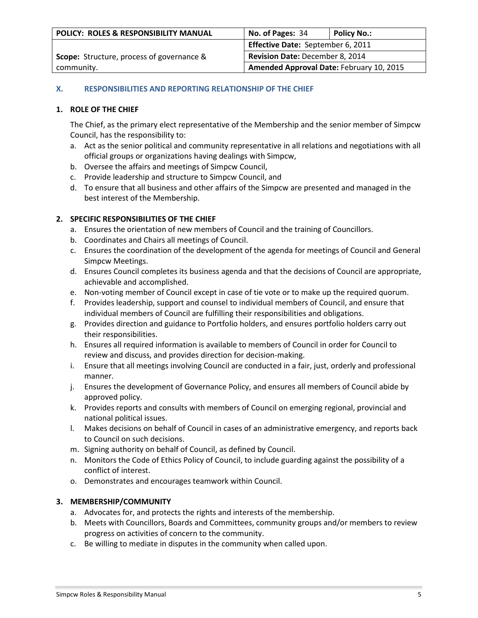| POLICY: ROLES & RESPONSIBILITY MANUAL            | No. of Pages: 34                         | <b>Policy No.:</b> |
|--------------------------------------------------|------------------------------------------|--------------------|
|                                                  | Effective Date: September 6, 2011        |                    |
| <b>Scope:</b> Structure, process of governance & | Revision Date: December 8, 2014          |                    |
| community.                                       | Amended Approval Date: February 10, 2015 |                    |

## **X. RESPONSIBILITIES AND REPORTING RELATIONSHIP OF THE CHIEF**

## **1. ROLE OF THE CHIEF**

The Chief, as the primary elect representative of the Membership and the senior member of Simpcw Council, has the responsibility to:

- a. Act as the senior political and community representative in all relations and negotiations with all official groups or organizations having dealings with Simpcw,
- b. Oversee the affairs and meetings of Simpcw Council,
- c. Provide leadership and structure to Simpcw Council, and
- d. To ensure that all business and other affairs of the Simpcw are presented and managed in the best interest of the Membership.

## **2. SPECIFIC RESPONSIBILITIES OF THE CHIEF**

- a. Ensures the orientation of new members of Council and the training of Councillors.
- b. Coordinates and Chairs all meetings of Council.
- c. Ensures the coordination of the development of the agenda for meetings of Council and General Simpcw Meetings.
- d. Ensures Council completes its business agenda and that the decisions of Council are appropriate, achievable and accomplished.
- e. Non-voting member of Council except in case of tie vote or to make up the required quorum.
- f. Provides leadership, support and counsel to individual members of Council, and ensure that individual members of Council are fulfilling their responsibilities and obligations.
- g. Provides direction and guidance to Portfolio holders, and ensures portfolio holders carry out their responsibilities.
- h. Ensures all required information is available to members of Council in order for Council to review and discuss, and provides direction for decision-making.
- i. Ensure that all meetings involving Council are conducted in a fair, just, orderly and professional manner.
- j. Ensures the development of Governance Policy, and ensures all members of Council abide by approved policy.
- k. Provides reports and consults with members of Council on emerging regional, provincial and national political issues.
- l. Makes decisions on behalf of Council in cases of an administrative emergency, and reports back to Council on such decisions.
- m. Signing authority on behalf of Council, as defined by Council.
- n. Monitors the Code of Ethics Policy of Council, to include guarding against the possibility of a conflict of interest.
- o. Demonstrates and encourages teamwork within Council.

# **3. MEMBERSHIP/COMMUNITY**

- a. Advocates for, and protects the rights and interests of the membership.
- b. Meets with Councillors, Boards and Committees, community groups and/or members to review progress on activities of concern to the community.
- c. Be willing to mediate in disputes in the community when called upon.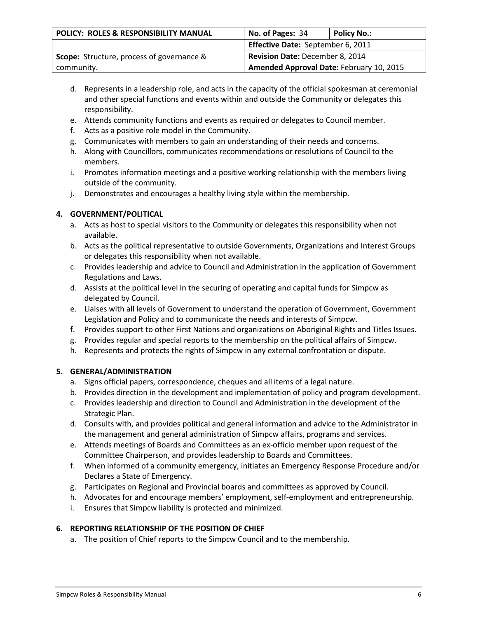| POLICY: ROLES & RESPONSIBILITY MANUAL            | No. of Pages: 34                         | <b>Policy No.:</b> |
|--------------------------------------------------|------------------------------------------|--------------------|
|                                                  | Effective Date: September 6, 2011        |                    |
| <b>Scope:</b> Structure, process of governance & | <b>Revision Date: December 8, 2014</b>   |                    |
| community.                                       | Amended Approval Date: February 10, 2015 |                    |

- d. Represents in a leadership role, and acts in the capacity of the official spokesman at ceremonial and other special functions and events within and outside the Community or delegates this responsibility.
- e. Attends community functions and events as required or delegates to Council member.
- f. Acts as a positive role model in the Community.
- g. Communicates with members to gain an understanding of their needs and concerns.
- h. Along with Councillors, communicates recommendations or resolutions of Council to the members.
- i. Promotes information meetings and a positive working relationship with the members living outside of the community.
- j. Demonstrates and encourages a healthy living style within the membership.

# **4. GOVERNMENT/POLITICAL**

- a. Acts as host to special visitors to the Community or delegates this responsibility when not available.
- b. Acts as the political representative to outside Governments, Organizations and Interest Groups or delegates this responsibility when not available.
- c. Provides leadership and advice to Council and Administration in the application of Government Regulations and Laws.
- d. Assists at the political level in the securing of operating and capital funds for Simpcw as delegated by Council.
- e. Liaises with all levels of Government to understand the operation of Government, Government Legislation and Policy and to communicate the needs and interests of Simpcw.
- f. Provides support to other First Nations and organizations on Aboriginal Rights and Titles Issues.
- g. Provides regular and special reports to the membership on the political affairs of Simpcw.
- h. Represents and protects the rights of Simpcw in any external confrontation or dispute.

### **5. GENERAL/ADMINISTRATION**

- a. Signs official papers, correspondence, cheques and all items of a legal nature.
- b. Provides direction in the development and implementation of policy and program development.
- c. Provides leadership and direction to Council and Administration in the development of the Strategic Plan.
- d. Consults with, and provides political and general information and advice to the Administrator in the management and general administration of Simpcw affairs, programs and services.
- e. Attends meetings of Boards and Committees as an ex-officio member upon request of the Committee Chairperson, and provides leadership to Boards and Committees.
- f. When informed of a community emergency, initiates an Emergency Response Procedure and/or Declares a State of Emergency.
- g. Participates on Regional and Provincial boards and committees as approved by Council.
- h. Advocates for and encourage members' employment, self-employment and entrepreneurship.
- i. Ensures that Simpcw liability is protected and minimized.

### **6. REPORTING RELATIONSHIP OF THE POSITION OF CHIEF**

a. The position of Chief reports to the Simpcw Council and to the membership.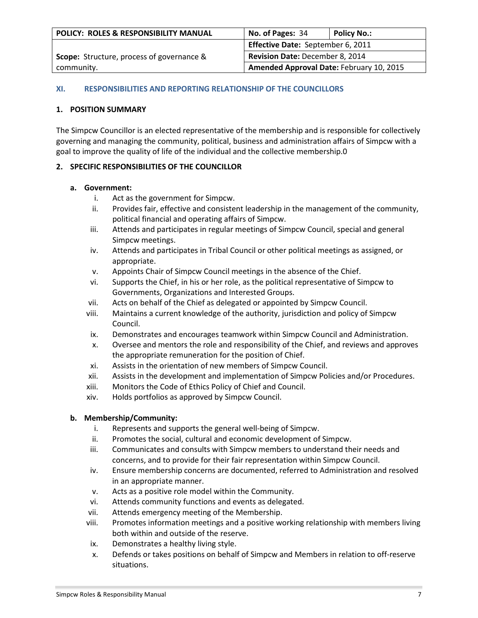| POLICY: ROLES & RESPONSIBILITY MANUAL            | No. of Pages: 34                         | <b>Policy No.:</b> |
|--------------------------------------------------|------------------------------------------|--------------------|
|                                                  | Effective Date: September 6, 2011        |                    |
| <b>Scope:</b> Structure, process of governance & | Revision Date: December 8, 2014          |                    |
| community.                                       | Amended Approval Date: February 10, 2015 |                    |

### **XI. RESPONSIBILITIES AND REPORTING RELATIONSHIP OF THE COUNCILLORS**

## **1. POSITION SUMMARY**

The Simpcw Councillor is an elected representative of the membership and is responsible for collectively governing and managing the community, political, business and administration affairs of Simpcw with a goal to improve the quality of life of the individual and the collective membership.0

# **2. SPECIFIC RESPONSIBILITIES OF THE COUNCILLOR**

### **a. Government:**

- i. Act as the government for Simpcw.
- ii. Provides fair, effective and consistent leadership in the management of the community, political financial and operating affairs of Simpcw.
- iii. Attends and participates in regular meetings of Simpcw Council, special and general Simpcw meetings.
- iv. Attends and participates in Tribal Council or other political meetings as assigned, or appropriate.
- v. Appoints Chair of Simpcw Council meetings in the absence of the Chief.
- vi. Supports the Chief, in his or her role, as the political representative of Simpcw to Governments, Organizations and Interested Groups.
- vii. Acts on behalf of the Chief as delegated or appointed by Simpcw Council.
- viii. Maintains a current knowledge of the authority, jurisdiction and policy of Simpcw Council.
- ix. Demonstrates and encourages teamwork within Simpcw Council and Administration.
- x. Oversee and mentors the role and responsibility of the Chief, and reviews and approves the appropriate remuneration for the position of Chief.
- xi. Assists in the orientation of new members of Simpcw Council.
- xii. Assists in the development and implementation of Simpcw Policies and/or Procedures.
- xiii. Monitors the Code of Ethics Policy of Chief and Council.
- xiv. Holds portfolios as approved by Simpcw Council.

# **b. Membership/Community:**

- i. Represents and supports the general well-being of Simpcw.
- ii. Promotes the social, cultural and economic development of Simpcw.
- iii. Communicates and consults with Simpcw members to understand their needs and concerns, and to provide for their fair representation within Simpcw Council.
- iv. Ensure membership concerns are documented, referred to Administration and resolved in an appropriate manner.
- v. Acts as a positive role model within the Community.
- vi. Attends community functions and events as delegated.
- vii. Attends emergency meeting of the Membership.
- viii. Promotes information meetings and a positive working relationship with members living both within and outside of the reserve.
- ix. Demonstrates a healthy living style.
- x. Defends or takes positions on behalf of Simpcw and Members in relation to off-reserve situations.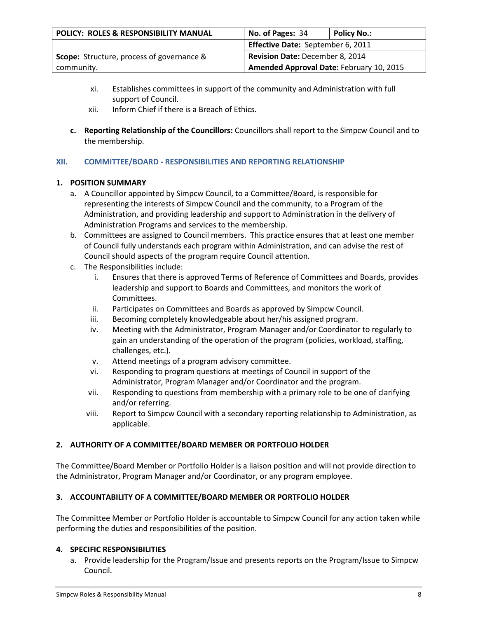| POLICY: ROLES & RESPONSIBILITY MANUAL            | No. of Pages: 34                         | <b>Policy No.:</b> |
|--------------------------------------------------|------------------------------------------|--------------------|
|                                                  | Effective Date: September 6, 2011        |                    |
| <b>Scope:</b> Structure, process of governance & | Revision Date: December 8, 2014          |                    |
| community.                                       | Amended Approval Date: February 10, 2015 |                    |

- xi. Establishes committees in support of the community and Administration with full support of Council.
- xii. Inform Chief if there is a Breach of Ethics.
- **c. Reporting Relationship of the Councillors:** Councillors shall report to the Simpcw Council and to the membership.

# **XII. COMMITTEE/BOARD - RESPONSIBILITIES AND REPORTING RELATIONSHIP**

# **1. POSITION SUMMARY**

- a. A Councillor appointed by Simpcw Council, to a Committee/Board, is responsible for representing the interests of Simpcw Council and the community, to a Program of the Administration, and providing leadership and support to Administration in the delivery of Administration Programs and services to the membership.
- b. Committees are assigned to Council members. This practice ensures that at least one member of Council fully understands each program within Administration, and can advise the rest of Council should aspects of the program require Council attention.
- c. The Responsibilities include:
	- i. Ensures that there is approved Terms of Reference of Committees and Boards, provides leadership and support to Boards and Committees, and monitors the work of Committees.
	- ii. Participates on Committees and Boards as approved by Simpcw Council.
	- iii. Becoming completely knowledgeable about her/his assigned program.
	- iv. Meeting with the Administrator, Program Manager and/or Coordinator to regularly to gain an understanding of the operation of the program (policies, workload, staffing, challenges, etc.).
	- v. Attend meetings of a program advisory committee.
	- vi. Responding to program questions at meetings of Council in support of the Administrator, Program Manager and/or Coordinator and the program.
	- vii. Responding to questions from membership with a primary role to be one of clarifying and/or referring.
	- viii. Report to Simpcw Council with a secondary reporting relationship to Administration, as applicable.

# **2. AUTHORITY OF A COMMITTEE/BOARD MEMBER OR PORTFOLIO HOLDER**

The Committee/Board Member or Portfolio Holder is a liaison position and will not provide direction to the Administrator, Program Manager and/or Coordinator, or any program employee.

# **3. ACCOUNTABILITY OF A COMMITTEE/BOARD MEMBER OR PORTFOLIO HOLDER**

The Committee Member or Portfolio Holder is accountable to Simpcw Council for any action taken while performing the duties and responsibilities of the position.

# **4. SPECIFIC RESPONSIBILITIES**

a. Provide leadership for the Program/Issue and presents reports on the Program/Issue to Simpcw Council.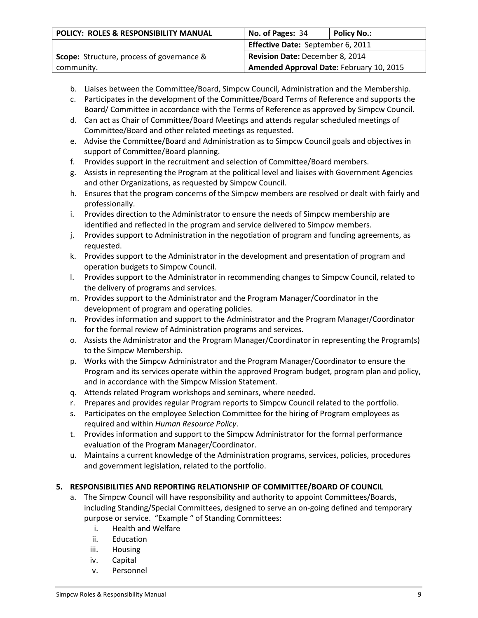| POLICY: ROLES & RESPONSIBILITY MANUAL            | No. of Pages: 34                         | <b>Policy No.:</b> |
|--------------------------------------------------|------------------------------------------|--------------------|
|                                                  | Effective Date: September 6, 2011        |                    |
| <b>Scope:</b> Structure, process of governance & | Revision Date: December 8, 2014          |                    |
| community.                                       | Amended Approval Date: February 10, 2015 |                    |

- b. Liaises between the Committee/Board, Simpcw Council, Administration and the Membership.
- c. Participates in the development of the Committee/Board Terms of Reference and supports the Board/ Committee in accordance with the Terms of Reference as approved by Simpcw Council.
- d. Can act as Chair of Committee/Board Meetings and attends regular scheduled meetings of Committee/Board and other related meetings as requested.
- e. Advise the Committee/Board and Administration as to Simpcw Council goals and objectives in support of Committee/Board planning.
- f. Provides support in the recruitment and selection of Committee/Board members.
- g. Assists in representing the Program at the political level and liaises with Government Agencies and other Organizations, as requested by Simpcw Council.
- h. Ensures that the program concerns of the Simpcw members are resolved or dealt with fairly and professionally.
- i. Provides direction to the Administrator to ensure the needs of Simpcw membership are identified and reflected in the program and service delivered to Simpcw members.
- j. Provides support to Administration in the negotiation of program and funding agreements, as requested.
- k. Provides support to the Administrator in the development and presentation of program and operation budgets to Simpcw Council.
- l. Provides support to the Administrator in recommending changes to Simpcw Council, related to the delivery of programs and services.
- m. Provides support to the Administrator and the Program Manager/Coordinator in the development of program and operating policies.
- n. Provides information and support to the Administrator and the Program Manager/Coordinator for the formal review of Administration programs and services.
- o. Assists the Administrator and the Program Manager/Coordinator in representing the Program(s) to the Simpcw Membership.
- p. Works with the Simpcw Administrator and the Program Manager/Coordinator to ensure the Program and its services operate within the approved Program budget, program plan and policy, and in accordance with the Simpcw Mission Statement.
- q. Attends related Program workshops and seminars, where needed.
- r. Prepares and provides regular Program reports to Simpcw Council related to the portfolio.
- s. Participates on the employee Selection Committee for the hiring of Program employees as required and within *Human Resource Policy*.
- t. Provides information and support to the Simpcw Administrator for the formal performance evaluation of the Program Manager/Coordinator.
- u. Maintains a current knowledge of the Administration programs, services, policies, procedures and government legislation, related to the portfolio.

### **5. RESPONSIBILITIES AND REPORTING RELATIONSHIP OF COMMITTEE/BOARD OF COUNCIL**

- a. The Simpcw Council will have responsibility and authority to appoint Committees/Boards, including Standing/Special Committees, designed to serve an on-going defined and temporary purpose or service. "Example " of Standing Committees:
	- i. Health and Welfare
	- ii. Education
	- iii. Housing
	- iv. Capital
	- v. Personnel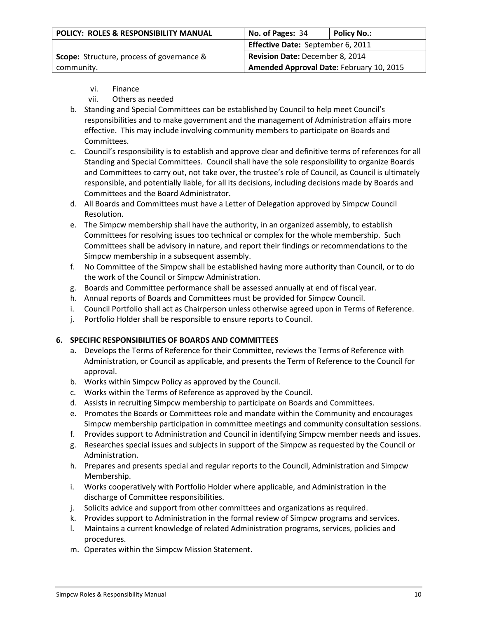| POLICY: ROLES & RESPONSIBILITY MANUAL            | No. of Pages: 34                         | <b>Policy No.:</b> |
|--------------------------------------------------|------------------------------------------|--------------------|
|                                                  | Effective Date: September 6, 2011        |                    |
| <b>Scope:</b> Structure, process of governance & | Revision Date: December 8, 2014          |                    |
| community.                                       | Amended Approval Date: February 10, 2015 |                    |

- vi. Finance
- vii. Others as needed
- b. Standing and Special Committees can be established by Council to help meet Council's responsibilities and to make government and the management of Administration affairs more effective. This may include involving community members to participate on Boards and Committees.
- c. Council's responsibility is to establish and approve clear and definitive terms of references for all Standing and Special Committees. Council shall have the sole responsibility to organize Boards and Committees to carry out, not take over, the trustee's role of Council, as Council is ultimately responsible, and potentially liable, for all its decisions, including decisions made by Boards and Committees and the Board Administrator.
- d. All Boards and Committees must have a Letter of Delegation approved by Simpcw Council Resolution.
- e. The Simpcw membership shall have the authority, in an organized assembly, to establish Committees for resolving issues too technical or complex for the whole membership. Such Committees shall be advisory in nature, and report their findings or recommendations to the Simpcw membership in a subsequent assembly.
- f. No Committee of the Simpcw shall be established having more authority than Council, or to do the work of the Council or Simpcw Administration.
- g. Boards and Committee performance shall be assessed annually at end of fiscal year.
- h. Annual reports of Boards and Committees must be provided for Simpcw Council.
- i. Council Portfolio shall act as Chairperson unless otherwise agreed upon in Terms of Reference.
- j. Portfolio Holder shall be responsible to ensure reports to Council.

### **6. SPECIFIC RESPONSIBILITIES OF BOARDS AND COMMITTEES**

- a. Develops the Terms of Reference for their Committee, reviews the Terms of Reference with Administration, or Council as applicable, and presents the Term of Reference to the Council for approval.
- b. Works within Simpcw Policy as approved by the Council.
- c. Works within the Terms of Reference as approved by the Council.
- d. Assists in recruiting Simpcw membership to participate on Boards and Committees.
- e. Promotes the Boards or Committees role and mandate within the Community and encourages Simpcw membership participation in committee meetings and community consultation sessions.
- f. Provides support to Administration and Council in identifying Simpcw member needs and issues.
- g. Researches special issues and subjects in support of the Simpcw as requested by the Council or Administration.
- h. Prepares and presents special and regular reports to the Council, Administration and Simpcw Membership.
- i. Works cooperatively with Portfolio Holder where applicable, and Administration in the discharge of Committee responsibilities.
- j. Solicits advice and support from other committees and organizations as required.
- k. Provides support to Administration in the formal review of Simpcw programs and services.
- l. Maintains a current knowledge of related Administration programs, services, policies and procedures.
- m. Operates within the Simpcw Mission Statement.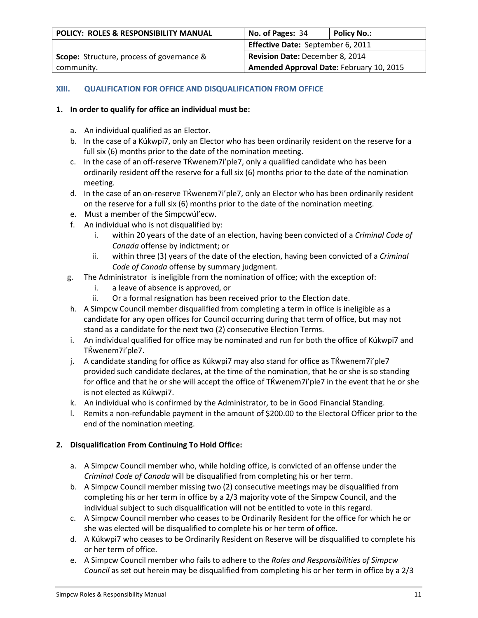| POLICY: ROLES & RESPONSIBILITY MANUAL            | No. of Pages: 34                         | <b>Policy No.:</b> |
|--------------------------------------------------|------------------------------------------|--------------------|
|                                                  | Effective Date: September 6, 2011        |                    |
| <b>Scope:</b> Structure, process of governance & | Revision Date: December 8, 2014          |                    |
| community.                                       | Amended Approval Date: February 10, 2015 |                    |

## **XIII. QUALIFICATION FOR OFFICE AND DISQUALIFICATION FROM OFFICE**

## **1. In order to qualify for office an individual must be:**

- a. An individual qualified as an Elector.
- b. In the case of a Kúkwpi7, only an Elector who has been ordinarily resident on the reserve for a full six (6) months prior to the date of the nomination meeting.
- c. In the case of an off-reserve TЌwenem7i'ple7, only a qualified candidate who has been ordinarily resident off the reserve for a full six (6) months prior to the date of the nomination meeting.
- d. In the case of an on-reserve TЌwenem7i'ple7, only an Elector who has been ordinarily resident on the reserve for a full six (6) months prior to the date of the nomination meeting.
- e. Must a member of the Simpcwúl'ecw.
- f. An individual who is not disqualified by:
	- i. within 20 years of the date of an election, having been convicted of a *Criminal Code of Canada* offense by indictment; or
	- ii. within three (3) years of the date of the election, having been convicted of a *Criminal Code of Canada* offense by summary judgment.
- g. The Administrator is ineligible from the nomination of office; with the exception of:
	- i. a leave of absence is approved, or
	- ii. Or a formal resignation has been received prior to the Election date.
- h. A Simpcw Council member disqualified from completing a term in office is ineligible as a candidate for any open offices for Council occurring during that term of office, but may not stand as a candidate for the next two (2) consecutive Election Terms.
- i. An individual qualified for office may be nominated and run for both the office of Kúkwpi7 and TЌwenem7i'ple7.
- j. A candidate standing for office as Kúkwpi7 may also stand for office as TЌwenem7i'ple7 provided such candidate declares, at the time of the nomination, that he or she is so standing for office and that he or she will accept the office of TЌwenem7i'ple7 in the event that he or she is not elected as Kúkwpi7.
- k. An individual who is confirmed by the Administrator, to be in Good Financial Standing.
- l. Remits a non-refundable payment in the amount of \$200.00 to the Electoral Officer prior to the end of the nomination meeting.

### **2. Disqualification From Continuing To Hold Office:**

- a. A Simpcw Council member who, while holding office, is convicted of an offense under the *Criminal Code of Canada* will be disqualified from completing his or her term.
- b. A Simpcw Council member missing two (2) consecutive meetings may be disqualified from completing his or her term in office by a 2/3 majority vote of the Simpcw Council, and the individual subject to such disqualification will not be entitled to vote in this regard.
- c. A Simpcw Council member who ceases to be Ordinarily Resident for the office for which he or she was elected will be disqualified to complete his or her term of office.
- d. A Kúkwpi7 who ceases to be Ordinarily Resident on Reserve will be disqualified to complete his or her term of office.
- e. A Simpcw Council member who fails to adhere to the *Roles and Responsibilities of Simpcw Council* as set out herein may be disqualified from completing his or her term in office by a 2/3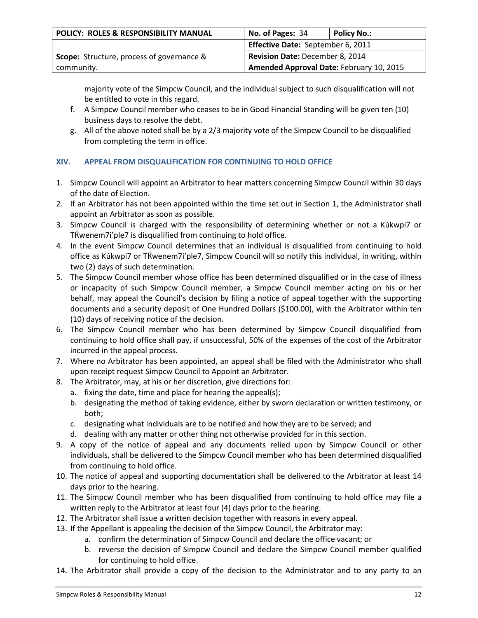| POLICY: ROLES & RESPONSIBILITY MANUAL            | No. of Pages: 34                         | <b>Policy No.:</b> |
|--------------------------------------------------|------------------------------------------|--------------------|
|                                                  | Effective Date: September 6, 2011        |                    |
| <b>Scope:</b> Structure, process of governance & | Revision Date: December 8, 2014          |                    |
| community.                                       | Amended Approval Date: February 10, 2015 |                    |

majority vote of the Simpcw Council, and the individual subject to such disqualification will not be entitled to vote in this regard.

- f. A Simpcw Council member who ceases to be in Good Financial Standing will be given ten (10) business days to resolve the debt.
- g. All of the above noted shall be by a 2/3 majority vote of the Simpcw Council to be disqualified from completing the term in office.

# **XIV. APPEAL FROM DISQUALIFICATION FOR CONTINUING TO HOLD OFFICE**

- 1. Simpcw Council will appoint an Arbitrator to hear matters concerning Simpcw Council within 30 days of the date of Election.
- 2. If an Arbitrator has not been appointed within the time set out in Section 1, the Administrator shall appoint an Arbitrator as soon as possible.
- 3. Simpcw Council is charged with the responsibility of determining whether or not a Kúkwpi7 or TЌwenem7i'ple7 is disqualified from continuing to hold office.
- 4. In the event Simpcw Council determines that an individual is disqualified from continuing to hold office as Kúkwpi7 or TЌwenem7i'ple7, Simpcw Council will so notify this individual, in writing, within two (2) days of such determination.
- 5. The Simpcw Council member whose office has been determined disqualified or in the case of illness or incapacity of such Simpcw Council member, a Simpcw Council member acting on his or her behalf, may appeal the Council's decision by filing a notice of appeal together with the supporting documents and a security deposit of One Hundred Dollars (\$100.00), with the Arbitrator within ten (10) days of receiving notice of the decision.
- 6. The Simpcw Council member who has been determined by Simpcw Council disqualified from continuing to hold office shall pay, if unsuccessful, 50% of the expenses of the cost of the Arbitrator incurred in the appeal process.
- 7. Where no Arbitrator has been appointed, an appeal shall be filed with the Administrator who shall upon receipt request Simpcw Council to Appoint an Arbitrator.
- 8. The Arbitrator, may, at his or her discretion, give directions for:
	- a. fixing the date, time and place for hearing the appeal(s);
	- b. designating the method of taking evidence, either by sworn declaration or written testimony, or both;
	- c. designating what individuals are to be notified and how they are to be served; and
	- d. dealing with any matter or other thing not otherwise provided for in this section.
- 9. A copy of the notice of appeal and any documents relied upon by Simpcw Council or other individuals, shall be delivered to the Simpcw Council member who has been determined disqualified from continuing to hold office.
- 10. The notice of appeal and supporting documentation shall be delivered to the Arbitrator at least 14 days prior to the hearing.
- 11. The Simpcw Council member who has been disqualified from continuing to hold office may file a written reply to the Arbitrator at least four (4) days prior to the hearing.
- 12. The Arbitrator shall issue a written decision together with reasons in every appeal.
- 13. If the Appellant is appealing the decision of the Simpcw Council, the Arbitrator may:
	- a. confirm the determination of Simpcw Council and declare the office vacant; or
	- b. reverse the decision of Simpcw Council and declare the Simpcw Council member qualified for continuing to hold office.
- 14. The Arbitrator shall provide a copy of the decision to the Administrator and to any party to an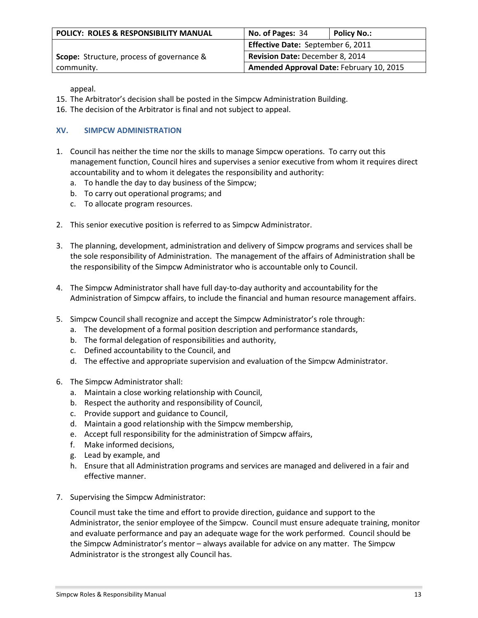| POLICY: ROLES & RESPONSIBILITY MANUAL            | No. of Pages: 34                         | <b>Policy No.:</b> |
|--------------------------------------------------|------------------------------------------|--------------------|
|                                                  | Effective Date: September 6, 2011        |                    |
| <b>Scope:</b> Structure, process of governance & | Revision Date: December 8, 2014          |                    |
| community.                                       | Amended Approval Date: February 10, 2015 |                    |

appeal.

- 15. The Arbitrator's decision shall be posted in the Simpcw Administration Building.
- 16. The decision of the Arbitrator is final and not subject to appeal.

## **XV. SIMPCW ADMINISTRATION**

- 1. Council has neither the time nor the skills to manage Simpcw operations. To carry out this management function, Council hires and supervises a senior executive from whom it requires direct accountability and to whom it delegates the responsibility and authority:
	- a. To handle the day to day business of the Simpcw;
	- b. To carry out operational programs; and
	- c. To allocate program resources.
- 2. This senior executive position is referred to as Simpcw Administrator.
- 3. The planning, development, administration and delivery of Simpcw programs and services shall be the sole responsibility of Administration. The management of the affairs of Administration shall be the responsibility of the Simpcw Administrator who is accountable only to Council.
- 4. The Simpcw Administrator shall have full day-to-day authority and accountability for the Administration of Simpcw affairs, to include the financial and human resource management affairs.
- 5. Simpcw Council shall recognize and accept the Simpcw Administrator's role through:
	- a. The development of a formal position description and performance standards,
	- b. The formal delegation of responsibilities and authority,
	- c. Defined accountability to the Council, and
	- d. The effective and appropriate supervision and evaluation of the Simpcw Administrator.
- 6. The Simpcw Administrator shall:
	- a. Maintain a close working relationship with Council,
	- b. Respect the authority and responsibility of Council,
	- c. Provide support and guidance to Council,
	- d. Maintain a good relationship with the Simpcw membership,
	- e. Accept full responsibility for the administration of Simpcw affairs,
	- f. Make informed decisions,
	- g. Lead by example, and
	- h. Ensure that all Administration programs and services are managed and delivered in a fair and effective manner.
- 7. Supervising the Simpcw Administrator:

Council must take the time and effort to provide direction, guidance and support to the Administrator, the senior employee of the Simpcw. Council must ensure adequate training, monitor and evaluate performance and pay an adequate wage for the work performed. Council should be the Simpcw Administrator's mentor – always available for advice on any matter. The Simpcw Administrator is the strongest ally Council has.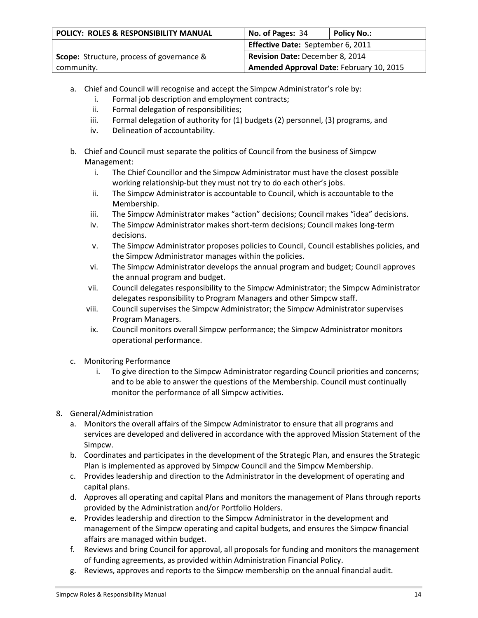| POLICY: ROLES & RESPONSIBILITY MANUAL            | No. of Pages: 34                         | <b>Policy No.:</b> |
|--------------------------------------------------|------------------------------------------|--------------------|
|                                                  | Effective Date: September 6, 2011        |                    |
| <b>Scope:</b> Structure, process of governance & | Revision Date: December 8, 2014          |                    |
| community.                                       | Amended Approval Date: February 10, 2015 |                    |

- a. Chief and Council will recognise and accept the Simpcw Administrator's role by:
	- i. Formal job description and employment contracts;
	- ii. Formal delegation of responsibilities;
	- iii. Formal delegation of authority for (1) budgets (2) personnel, (3) programs, and
	- iv. Delineation of accountability.
- b. Chief and Council must separate the politics of Council from the business of Simpcw Management:
	- i. The Chief Councillor and the Simpcw Administrator must have the closest possible working relationship-but they must not try to do each other's jobs.
	- ii. The Simpcw Administrator is accountable to Council, which is accountable to the Membership.
	- iii. The Simpcw Administrator makes "action" decisions; Council makes "idea" decisions.
	- iv. The Simpcw Administrator makes short-term decisions; Council makes long-term decisions.
	- v. The Simpcw Administrator proposes policies to Council, Council establishes policies, and the Simpcw Administrator manages within the policies.
	- vi. The Simpcw Administrator develops the annual program and budget; Council approves the annual program and budget.
	- vii. Council delegates responsibility to the Simpcw Administrator; the Simpcw Administrator delegates responsibility to Program Managers and other Simpcw staff.
	- viii. Council supervises the Simpcw Administrator; the Simpcw Administrator supervises Program Managers.
	- ix. Council monitors overall Simpcw performance; the Simpcw Administrator monitors operational performance.
- c. Monitoring Performance
	- i. To give direction to the Simpcw Administrator regarding Council priorities and concerns; and to be able to answer the questions of the Membership. Council must continually monitor the performance of all Simpcw activities.
- 8. General/Administration
	- a. Monitors the overall affairs of the Simpcw Administrator to ensure that all programs and services are developed and delivered in accordance with the approved Mission Statement of the Simpcw.
	- b. Coordinates and participates in the development of the Strategic Plan, and ensures the Strategic Plan is implemented as approved by Simpcw Council and the Simpcw Membership.
	- c. Provides leadership and direction to the Administrator in the development of operating and capital plans.
	- d. Approves all operating and capital Plans and monitors the management of Plans through reports provided by the Administration and/or Portfolio Holders.
	- e. Provides leadership and direction to the Simpcw Administrator in the development and management of the Simpcw operating and capital budgets, and ensures the Simpcw financial affairs are managed within budget.
	- f. Reviews and bring Council for approval, all proposals for funding and monitors the management of funding agreements, as provided within Administration Financial Policy.
	- g. Reviews, approves and reports to the Simpcw membership on the annual financial audit.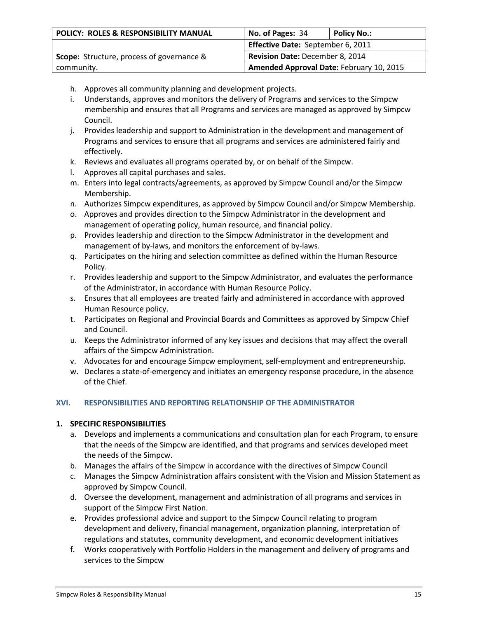| POLICY: ROLES & RESPONSIBILITY MANUAL            | No. of Pages: 34                         | <b>Policy No.:</b> |
|--------------------------------------------------|------------------------------------------|--------------------|
|                                                  | Effective Date: September 6, 2011        |                    |
| <b>Scope:</b> Structure, process of governance & | Revision Date: December 8, 2014          |                    |
| community.                                       | Amended Approval Date: February 10, 2015 |                    |

- h. Approves all community planning and development projects.
- i. Understands, approves and monitors the delivery of Programs and services to the Simpcw membership and ensures that all Programs and services are managed as approved by Simpcw Council.
- j. Provides leadership and support to Administration in the development and management of Programs and services to ensure that all programs and services are administered fairly and effectively.
- k. Reviews and evaluates all programs operated by, or on behalf of the Simpcw.
- l. Approves all capital purchases and sales.
- m. Enters into legal contracts/agreements, as approved by Simpcw Council and/or the Simpcw Membership.
- n. Authorizes Simpcw expenditures, as approved by Simpcw Council and/or Simpcw Membership.
- o. Approves and provides direction to the Simpcw Administrator in the development and management of operating policy, human resource, and financial policy.
- p. Provides leadership and direction to the Simpcw Administrator in the development and management of by-laws, and monitors the enforcement of by-laws.
- q. Participates on the hiring and selection committee as defined within the Human Resource Policy.
- r. Provides leadership and support to the Simpcw Administrator, and evaluates the performance of the Administrator, in accordance with Human Resource Policy.
- s. Ensures that all employees are treated fairly and administered in accordance with approved Human Resource policy.
- t. Participates on Regional and Provincial Boards and Committees as approved by Simpcw Chief and Council.
- u. Keeps the Administrator informed of any key issues and decisions that may affect the overall affairs of the Simpcw Administration.
- v. Advocates for and encourage Simpcw employment, self-employment and entrepreneurship.
- w. Declares a state-of-emergency and initiates an emergency response procedure, in the absence of the Chief.

# **XVI. RESPONSIBILITIES AND REPORTING RELATIONSHIP OF THE ADMINISTRATOR**

### **1. SPECIFIC RESPONSIBILITIES**

- a. Develops and implements a communications and consultation plan for each Program, to ensure that the needs of the Simpcw are identified, and that programs and services developed meet the needs of the Simpcw.
- b. Manages the affairs of the Simpcw in accordance with the directives of Simpcw Council
- c. Manages the Simpcw Administration affairs consistent with the Vision and Mission Statement as approved by Simpcw Council.
- d. Oversee the development, management and administration of all programs and services in support of the Simpcw First Nation.
- e. Provides professional advice and support to the Simpcw Council relating to program development and delivery, financial management, organization planning, interpretation of regulations and statutes, community development, and economic development initiatives
- f. Works cooperatively with Portfolio Holders in the management and delivery of programs and services to the Simpcw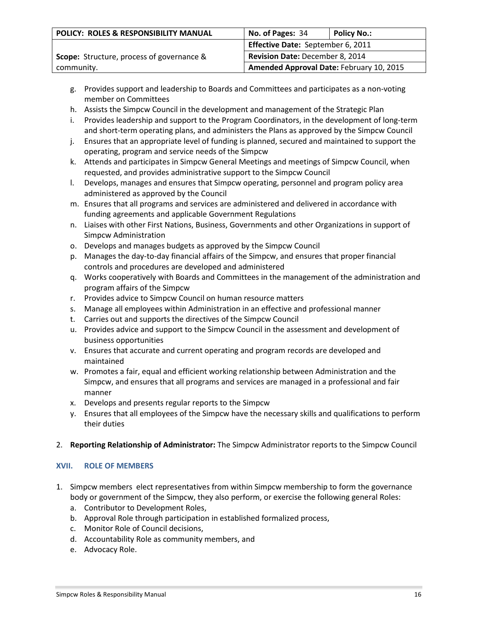| POLICY: ROLES & RESPONSIBILITY MANUAL            | No. of Pages: 34                         | <b>Policy No.:</b> |
|--------------------------------------------------|------------------------------------------|--------------------|
|                                                  | Effective Date: September 6, 2011        |                    |
| <b>Scope:</b> Structure, process of governance & | Revision Date: December 8, 2014          |                    |
| community.                                       | Amended Approval Date: February 10, 2015 |                    |

- g. Provides support and leadership to Boards and Committees and participates as a non-voting member on Committees
- h. Assists the Simpcw Council in the development and management of the Strategic Plan
- i. Provides leadership and support to the Program Coordinators, in the development of long-term and short-term operating plans, and administers the Plans as approved by the Simpcw Council
- j. Ensures that an appropriate level of funding is planned, secured and maintained to support the operating, program and service needs of the Simpcw
- k. Attends and participates in Simpcw General Meetings and meetings of Simpcw Council, when requested, and provides administrative support to the Simpcw Council
- l. Develops, manages and ensures that Simpcw operating, personnel and program policy area administered as approved by the Council
- m. Ensures that all programs and services are administered and delivered in accordance with funding agreements and applicable Government Regulations
- n. Liaises with other First Nations, Business, Governments and other Organizations in support of Simpcw Administration
- o. Develops and manages budgets as approved by the Simpcw Council
- p. Manages the day-to-day financial affairs of the Simpcw, and ensures that proper financial controls and procedures are developed and administered
- q. Works cooperatively with Boards and Committees in the management of the administration and program affairs of the Simpcw
- r. Provides advice to Simpcw Council on human resource matters
- s. Manage all employees within Administration in an effective and professional manner
- t. Carries out and supports the directives of the Simpcw Council
- u. Provides advice and support to the Simpcw Council in the assessment and development of business opportunities
- v. Ensures that accurate and current operating and program records are developed and maintained
- w. Promotes a fair, equal and efficient working relationship between Administration and the Simpcw, and ensures that all programs and services are managed in a professional and fair manner
- x. Develops and presents regular reports to the Simpcw
- y. Ensures that all employees of the Simpcw have the necessary skills and qualifications to perform their duties
- 2. **Reporting Relationship of Administrator:** The Simpcw Administrator reports to the Simpcw Council

### **XVII. ROLE OF MEMBERS**

- 1. Simpcw members elect representatives from within Simpcw membership to form the governance body or government of the Simpcw, they also perform, or exercise the following general Roles:
	- a. Contributor to Development Roles,
	- b. Approval Role through participation in established formalized process,
	- c. Monitor Role of Council decisions,
	- d. Accountability Role as community members, and
	- e. Advocacy Role.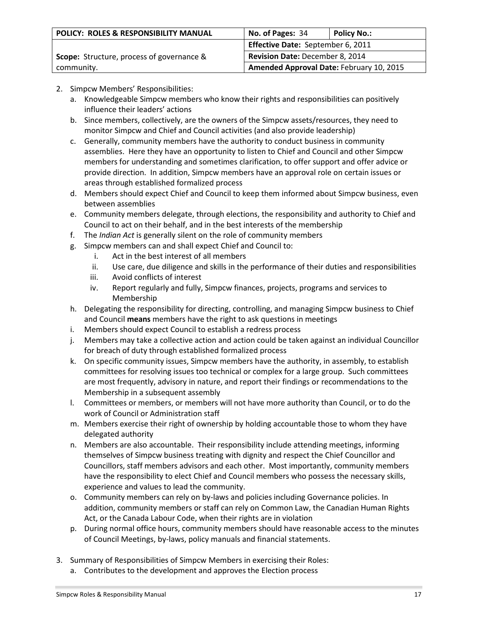| POLICY: ROLES & RESPONSIBILITY MANUAL            | No. of Pages: 34                         | <b>Policy No.:</b> |
|--------------------------------------------------|------------------------------------------|--------------------|
|                                                  | Effective Date: September 6, 2011        |                    |
| <b>Scope:</b> Structure, process of governance & | Revision Date: December 8, 2014          |                    |
| community.                                       | Amended Approval Date: February 10, 2015 |                    |

# 2. Simpcw Members' Responsibilities:

- a. Knowledgeable Simpcw members who know their rights and responsibilities can positively influence their leaders' actions
- b. Since members, collectively, are the owners of the Simpcw assets/resources, they need to monitor Simpcw and Chief and Council activities (and also provide leadership)
- c. Generally, community members have the authority to conduct business in community assemblies. Here they have an opportunity to listen to Chief and Council and other Simpcw members for understanding and sometimes clarification, to offer support and offer advice or provide direction. In addition, Simpcw members have an approval role on certain issues or areas through established formalized process
- d. Members should expect Chief and Council to keep them informed about Simpcw business, even between assemblies
- e. Community members delegate, through elections, the responsibility and authority to Chief and Council to act on their behalf, and in the best interests of the membership
- f. The *Indian Act* is generally silent on the role of community members
- g. Simpcw members can and shall expect Chief and Council to:
	- i. Act in the best interest of all members
	- ii. Use care, due diligence and skills in the performance of their duties and responsibilities
	- iii. Avoid conflicts of interest
	- iv. Report regularly and fully, Simpcw finances, projects, programs and services to Membership
- h. Delegating the responsibility for directing, controlling, and managing Simpcw business to Chief and Council **means** members have the right to ask questions in meetings
- i. Members should expect Council to establish a redress process
- j. Members may take a collective action and action could be taken against an individual Councillor for breach of duty through established formalized process
- k. On specific community issues, Simpcw members have the authority, in assembly, to establish committees for resolving issues too technical or complex for a large group. Such committees are most frequently, advisory in nature, and report their findings or recommendations to the Membership in a subsequent assembly
- l. Committees or members, or members will not have more authority than Council, or to do the work of Council or Administration staff
- m. Members exercise their right of ownership by holding accountable those to whom they have delegated authority
- n. Members are also accountable. Their responsibility include attending meetings, informing themselves of Simpcw business treating with dignity and respect the Chief Councillor and Councillors, staff members advisors and each other. Most importantly, community members have the responsibility to elect Chief and Council members who possess the necessary skills, experience and values to lead the community.
- o. Community members can rely on by-laws and policies including Governance policies. In addition, community members or staff can rely on Common Law, the Canadian Human Rights Act, or the Canada Labour Code, when their rights are in violation
- p. During normal office hours, community members should have reasonable access to the minutes of Council Meetings, by-laws, policy manuals and financial statements.
- 3. Summary of Responsibilities of Simpcw Members in exercising their Roles:
	- a. Contributes to the development and approves the Election process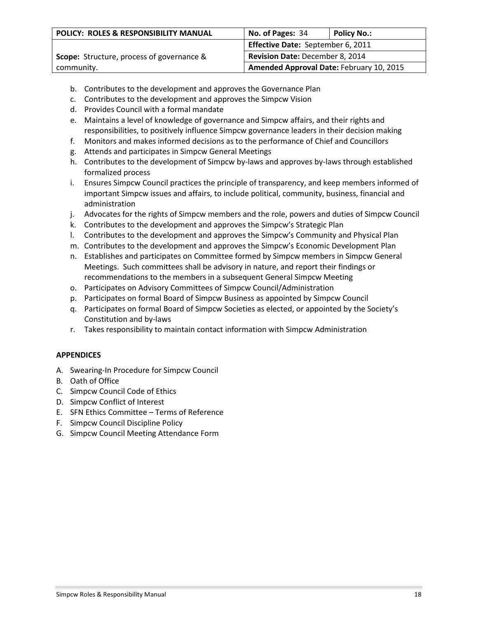| POLICY: ROLES & RESPONSIBILITY MANUAL            | No. of Pages: 34                         | <b>Policy No.:</b> |
|--------------------------------------------------|------------------------------------------|--------------------|
|                                                  | Effective Date: September 6, 2011        |                    |
| <b>Scope:</b> Structure, process of governance & | Revision Date: December 8, 2014          |                    |
| community.                                       | Amended Approval Date: February 10, 2015 |                    |

- b. Contributes to the development and approves the Governance Plan
- c. Contributes to the development and approves the Simpcw Vision
- d. Provides Council with a formal mandate
- e. Maintains a level of knowledge of governance and Simpcw affairs, and their rights and responsibilities, to positively influence Simpcw governance leaders in their decision making
- f. Monitors and makes informed decisions as to the performance of Chief and Councillors
- g. Attends and participates in Simpcw General Meetings
- h. Contributes to the development of Simpcw by-laws and approves by-laws through established formalized process
- i. Ensures Simpcw Council practices the principle of transparency, and keep members informed of important Simpcw issues and affairs, to include political, community, business, financial and administration
- j. Advocates for the rights of Simpcw members and the role, powers and duties of Simpcw Council
- k. Contributes to the development and approves the Simpcw's Strategic Plan
- l. Contributes to the development and approves the Simpcw's Community and Physical Plan
- m. Contributes to the development and approves the Simpcw's Economic Development Plan
- n. Establishes and participates on Committee formed by Simpcw members in Simpcw General Meetings. Such committees shall be advisory in nature, and report their findings or recommendations to the members in a subsequent General Simpcw Meeting
- o. Participates on Advisory Committees of Simpcw Council/Administration
- p. Participates on formal Board of Simpcw Business as appointed by Simpcw Council
- q. Participates on formal Board of Simpcw Societies as elected, or appointed by the Society's Constitution and by-laws
- r. Takes responsibility to maintain contact information with Simpcw Administration

# **APPENDICES**

- A. Swearing-In Procedure for Simpcw Council
- B. Oath of Office
- C. Simpcw Council Code of Ethics
- D. Simpcw Conflict of Interest
- E. SFN Ethics Committee Terms of Reference
- F. Simpcw Council Discipline Policy
- G. Simpcw Council Meeting Attendance Form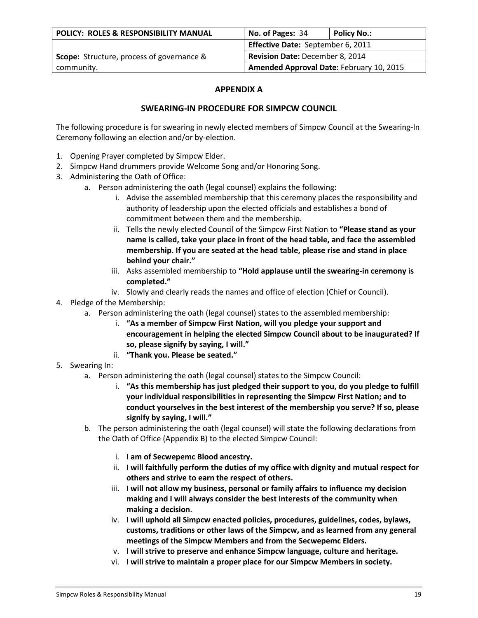| <b>POLICY: ROLES &amp; RESPONSIBILITY MANUAL</b> | No. of Pages: 34                         | Policy No.: |
|--------------------------------------------------|------------------------------------------|-------------|
|                                                  | Effective Date: September 6, 2011        |             |
| <b>Scope:</b> Structure, process of governance & | <b>Revision Date: December 8, 2014</b>   |             |
| community.                                       | Amended Approval Date: February 10, 2015 |             |

# **APPENDIX A**

# **SWEARING-IN PROCEDURE FOR SIMPCW COUNCIL**

The following procedure is for swearing in newly elected members of Simpcw Council at the Swearing-In Ceremony following an election and/or by-election.

- 1. Opening Prayer completed by Simpcw Elder.
- 2. Simpcw Hand drummers provide Welcome Song and/or Honoring Song.
- 3. Administering the Oath of Office:
	- a. Person administering the oath (legal counsel) explains the following:
		- i. Advise the assembled membership that this ceremony places the responsibility and authority of leadership upon the elected officials and establishes a bond of commitment between them and the membership.
		- ii. Tells the newly elected Council of the Simpcw First Nation to **"Please stand as your name is called, take your place in front of the head table, and face the assembled membership. If you are seated at the head table, please rise and stand in place behind your chair."**
		- iii. Asks assembled membership to **"Hold applause until the swearing-in ceremony is completed."**
		- iv. Slowly and clearly reads the names and office of election (Chief or Council).
- 4. Pledge of the Membership:
	- a. Person administering the oath (legal counsel) states to the assembled membership:
		- i. **"As a member of Simpcw First Nation, will you pledge your support and encouragement in helping the elected Simpcw Council about to be inaugurated? If so, please signify by saying, I will."**
		- ii. **"Thank you. Please be seated."**
- 5. Swearing In:
	- a. Person administering the oath (legal counsel) states to the Simpcw Council:
		- i. **"As this membership has just pledged their support to you, do you pledge to fulfill your individual responsibilities in representing the Simpcw First Nation; and to conduct yourselves in the best interest of the membership you serve? If so, please signify by saying, I will."**
	- b. The person administering the oath (legal counsel) will state the following declarations from the Oath of Office (Appendix B) to the elected Simpcw Council:
		- i. **I am of Secwepemc Blood ancestry.**
		- ii. **I will faithfully perform the duties of my office with dignity and mutual respect for others and strive to earn the respect of others.**
		- iii. **I will not allow my business, personal or family affairs to influence my decision making and I will always consider the best interests of the community when making a decision.**
		- iv. **I will uphold all Simpcw enacted policies, procedures, guidelines, codes, bylaws, customs, traditions or other laws of the Simpcw, and as learned from any general meetings of the Simpcw Members and from the Secwepemc Elders.**
		- v. **I will strive to preserve and enhance Simpcw language, culture and heritage.**
		- vi. **I will strive to maintain a proper place for our Simpcw Members in society.**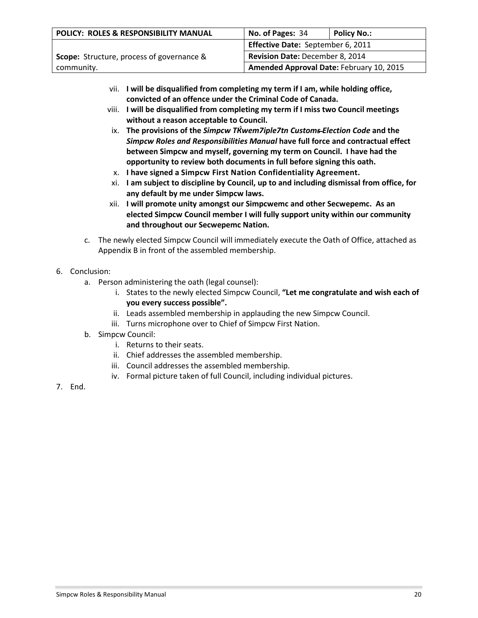| POLICY: ROLES & RESPONSIBILITY MANUAL            | No. of Pages: 34                         | <b>Policy No.:</b> |
|--------------------------------------------------|------------------------------------------|--------------------|
|                                                  | Effective Date: September 6, 2011        |                    |
| <b>Scope:</b> Structure, process of governance & | <b>Revision Date: December 8, 2014</b>   |                    |
| community.                                       | Amended Approval Date: February 10, 2015 |                    |

- vii. **I will be disqualified from completing my term if I am, while holding office, convicted of an offence under the Criminal Code of Canada.**
- viii. **I will be disqualified from completing my term if I miss two Council meetings without a reason acceptable to Council.**
- ix. **The provisions of the** *Simpcw TЌwem7iple7tn Customs Election Code* **and the**  *Simpcw Roles and Responsibilities Manual* **have full force and contractual effect between Simpcw and myself, governing my term on Council. I have had the opportunity to review both documents in full before signing this oath.**
- x. **I have signed a Simpcw First Nation Confidentiality Agreement.**
- xi. **I am subject to discipline by Council, up to and including dismissal from office, for any default by me under Simpcw laws.**
- xii. **I will promote unity amongst our Simpcwemc and other Secwepemc. As an elected Simpcw Council member I will fully support unity within our community and throughout our Secwepemc Nation.**
- c. The newly elected Simpcw Council will immediately execute the Oath of Office, attached as Appendix B in front of the assembled membership.
- 6. Conclusion:
	- a. Person administering the oath (legal counsel):
		- i. States to the newly elected Simpcw Council, **"Let me congratulate and wish each of you every success possible".**
		- ii. Leads assembled membership in applauding the new Simpcw Council.
		- iii. Turns microphone over to Chief of Simpcw First Nation.
	- b. Simpcw Council:
		- i. Returns to their seats.
		- ii. Chief addresses the assembled membership.
		- iii. Council addresses the assembled membership.
		- iv. Formal picture taken of full Council, including individual pictures.
- 7. End.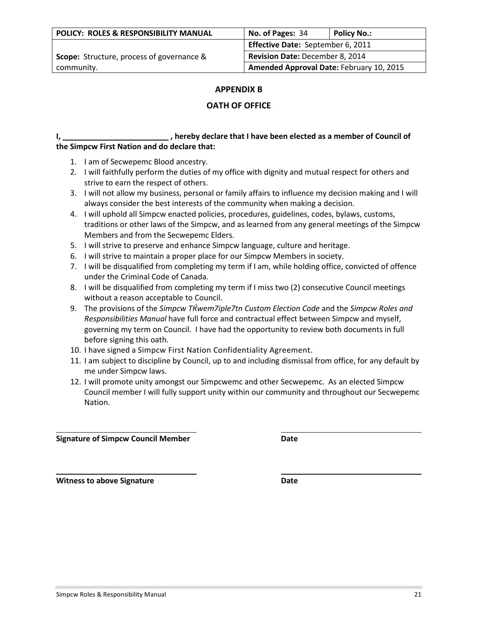## **APPENDIX B**

# **OATH OF OFFICE**

## **I**, \_\_\_\_\_\_\_\_\_\_\_\_\_\_\_\_\_\_\_\_\_\_\_\_\_\_\_\_\_\_, hereby declare that I have been elected as a member of Council of **the Simpcw First Nation and do declare that:**

- 1. I am of Secwepemc Blood ancestry.
- 2. I will faithfully perform the duties of my office with dignity and mutual respect for others and strive to earn the respect of others.
- 3. I will not allow my business, personal or family affairs to influence my decision making and I will always consider the best interests of the community when making a decision.
- 4. I will uphold all Simpcw enacted policies, procedures, guidelines, codes, bylaws, customs, traditions or other laws of the Simpcw, and as learned from any general meetings of the Simpcw Members and from the Secwepemc Elders.
- 5. I will strive to preserve and enhance Simpcw language, culture and heritage.
- 6. I will strive to maintain a proper place for our Simpcw Members in society.
- 7. I will be disqualified from completing my term if I am, while holding office, convicted of offence under the Criminal Code of Canada.
- 8. I will be disqualified from completing my term if I miss two (2) consecutive Council meetings without a reason acceptable to Council.
- 9. The provisions of the *Simpcw TЌwem7iple7tn Custom Election Code* and the *Simpcw Roles and Responsibilities Manual* have full force and contractual effect between Simpcw and myself, governing my term on Council. I have had the opportunity to review both documents in full before signing this oath.
- 10. I have signed a Simpcw First Nation Confidentiality Agreement.
- 11. I am subject to discipline by Council, up to and including dismissal from office, for any default by me under Simpcw laws.
- 12. I will promote unity amongst our Simpcwemc and other Secwepemc. As an elected Simpcw Council member I will fully support unity within our community and throughout our Secwepemc Nation.

**Signature of Simpcw Council Member <b>Date Date** 

**Witness to above Signature Date**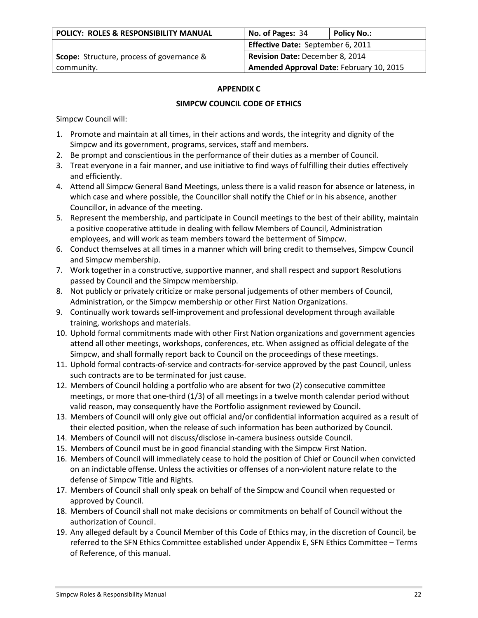| <b>POLICY: ROLES &amp; RESPONSIBILITY MANUAL</b> | No. of Pages: 34                         | Policy No.: |
|--------------------------------------------------|------------------------------------------|-------------|
|                                                  | Effective Date: September 6, 2011        |             |
| <b>Scope:</b> Structure, process of governance & | Revision Date: December 8, 2014          |             |
| community.                                       | Amended Approval Date: February 10, 2015 |             |

### **APPENDIX C**

### **SIMPCW COUNCIL CODE OF ETHICS**

Simpcw Council will:

- 1. Promote and maintain at all times, in their actions and words, the integrity and dignity of the Simpcw and its government, programs, services, staff and members.
- 2. Be prompt and conscientious in the performance of their duties as a member of Council.
- 3. Treat everyone in a fair manner, and use initiative to find ways of fulfilling their duties effectively and efficiently.
- 4. Attend all Simpcw General Band Meetings, unless there is a valid reason for absence or lateness, in which case and where possible, the Councillor shall notify the Chief or in his absence, another Councillor, in advance of the meeting.
- 5. Represent the membership, and participate in Council meetings to the best of their ability, maintain a positive cooperative attitude in dealing with fellow Members of Council, Administration employees, and will work as team members toward the betterment of Simpcw.
- 6. Conduct themselves at all times in a manner which will bring credit to themselves, Simpcw Council and Simpcw membership.
- 7. Work together in a constructive, supportive manner, and shall respect and support Resolutions passed by Council and the Simpcw membership.
- 8. Not publicly or privately criticize or make personal judgements of other members of Council, Administration, or the Simpcw membership or other First Nation Organizations.
- 9. Continually work towards self-improvement and professional development through available training, workshops and materials.
- 10. Uphold formal commitments made with other First Nation organizations and government agencies attend all other meetings, workshops, conferences, etc. When assigned as official delegate of the Simpcw, and shall formally report back to Council on the proceedings of these meetings.
- 11. Uphold formal contracts-of-service and contracts-for-service approved by the past Council, unless such contracts are to be terminated for just cause.
- 12. Members of Council holding a portfolio who are absent for two (2) consecutive committee meetings, or more that one-third (1/3) of all meetings in a twelve month calendar period without valid reason, may consequently have the Portfolio assignment reviewed by Council.
- 13. Members of Council will only give out official and/or confidential information acquired as a result of their elected position, when the release of such information has been authorized by Council.
- 14. Members of Council will not discuss/disclose in-camera business outside Council.
- 15. Members of Council must be in good financial standing with the Simpcw First Nation.
- 16. Members of Council will immediately cease to hold the position of Chief or Council when convicted on an indictable offense. Unless the activities or offenses of a non-violent nature relate to the defense of Simpcw Title and Rights.
- 17. Members of Council shall only speak on behalf of the Simpcw and Council when requested or approved by Council.
- 18. Members of Council shall not make decisions or commitments on behalf of Council without the authorization of Council.
- 19. Any alleged default by a Council Member of this Code of Ethics may, in the discretion of Council, be referred to the SFN Ethics Committee established under Appendix E, SFN Ethics Committee – Terms of Reference, of this manual.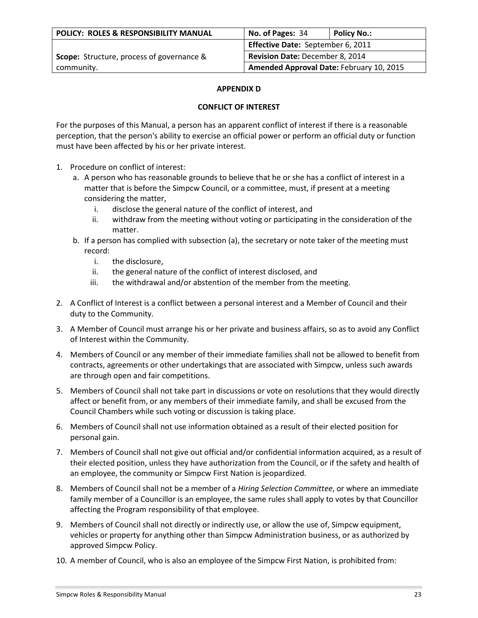| <b>POLICY: ROLES &amp; RESPONSIBILITY MANUAL</b> | No. of Pages: 34                         | Policy No.: |
|--------------------------------------------------|------------------------------------------|-------------|
|                                                  | <b>Effective Date: September 6, 2011</b> |             |
| <b>Scope:</b> Structure, process of governance & | <b>Revision Date: December 8, 2014</b>   |             |
| community.                                       | Amended Approval Date: February 10, 2015 |             |

### **APPENDIX D**

#### **CONFLICT OF INTEREST**

For the purposes of this Manual, a person has an apparent conflict of interest if there is a reasonable perception, that the person's ability to exercise an official power or perform an official duty or function must have been affected by his or her private interest.

- 1. Procedure on conflict of interest:
	- a. A person who has reasonable grounds to believe that he or she has a conflict of interest in a matter that is before the Simpcw Council, or a committee, must, if present at a meeting considering the matter,
		- i. disclose the general nature of the conflict of interest, and
		- ii. withdraw from the meeting without voting or participating in the consideration of the matter.
	- b. If a person has complied with subsection (a), the secretary or note taker of the meeting must record:
		- i. the disclosure,
		- ii. the general nature of the conflict of interest disclosed, and
		- iii. the withdrawal and/or abstention of the member from the meeting.
- 2. A Conflict of Interest is a conflict between a personal interest and a Member of Council and their duty to the Community.
- 3. A Member of Council must arrange his or her private and business affairs, so as to avoid any Conflict of Interest within the Community.
- 4. Members of Council or any member of their immediate families shall not be allowed to benefit from contracts, agreements or other undertakings that are associated with Simpcw, unless such awards are through open and fair competitions.
- 5. Members of Council shall not take part in discussions or vote on resolutions that they would directly affect or benefit from, or any members of their immediate family, and shall be excused from the Council Chambers while such voting or discussion is taking place.
- 6. Members of Council shall not use information obtained as a result of their elected position for personal gain.
- 7. Members of Council shall not give out official and/or confidential information acquired, as a result of their elected position, unless they have authorization from the Council, or if the safety and health of an employee, the community or Simpcw First Nation is jeopardized.
- 8. Members of Council shall not be a member of a *Hiring Selection Committee*, or where an immediate family member of a Councillor is an employee, the same rules shall apply to votes by that Councillor affecting the Program responsibility of that employee.
- 9. Members of Council shall not directly or indirectly use, or allow the use of, Simpcw equipment, vehicles or property for anything other than Simpcw Administration business, or as authorized by approved Simpcw Policy.
- 10. A member of Council, who is also an employee of the Simpcw First Nation, is prohibited from: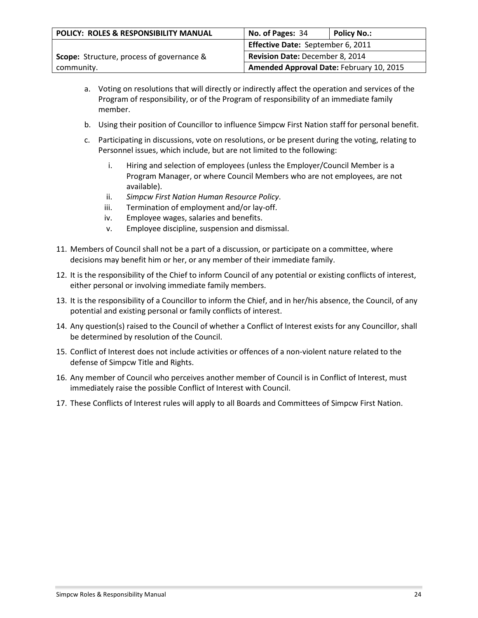| POLICY: ROLES & RESPONSIBILITY MANUAL            | No. of Pages: 34                         | <b>Policy No.:</b> |
|--------------------------------------------------|------------------------------------------|--------------------|
|                                                  | Effective Date: September 6, 2011        |                    |
| <b>Scope:</b> Structure, process of governance & | <b>Revision Date: December 8, 2014</b>   |                    |
| community.                                       | Amended Approval Date: February 10, 2015 |                    |

- a. Voting on resolutions that will directly or indirectly affect the operation and services of the Program of responsibility, or of the Program of responsibility of an immediate family member.
- b. Using their position of Councillor to influence Simpcw First Nation staff for personal benefit.
- c. Participating in discussions, vote on resolutions, or be present during the voting, relating to Personnel issues, which include, but are not limited to the following:
	- i. Hiring and selection of employees (unless the Employer/Council Member is a Program Manager, or where Council Members who are not employees, are not available).
	- ii. *Simpcw First Nation Human Resource Policy*.
	- iii. Termination of employment and/or lay-off.
	- iv. Employee wages, salaries and benefits.
	- v. Employee discipline, suspension and dismissal.
- 11. Members of Council shall not be a part of a discussion, or participate on a committee, where decisions may benefit him or her, or any member of their immediate family.
- 12. It is the responsibility of the Chief to inform Council of any potential or existing conflicts of interest, either personal or involving immediate family members.
- 13. It is the responsibility of a Councillor to inform the Chief, and in her/his absence, the Council, of any potential and existing personal or family conflicts of interest.
- 14. Any question(s) raised to the Council of whether a Conflict of Interest exists for any Councillor, shall be determined by resolution of the Council.
- 15. Conflict of Interest does not include activities or offences of a non-violent nature related to the defense of Simpcw Title and Rights.
- 16. Any member of Council who perceives another member of Council is in Conflict of Interest, must immediately raise the possible Conflict of Interest with Council.
- 17. These Conflicts of Interest rules will apply to all Boards and Committees of Simpcw First Nation.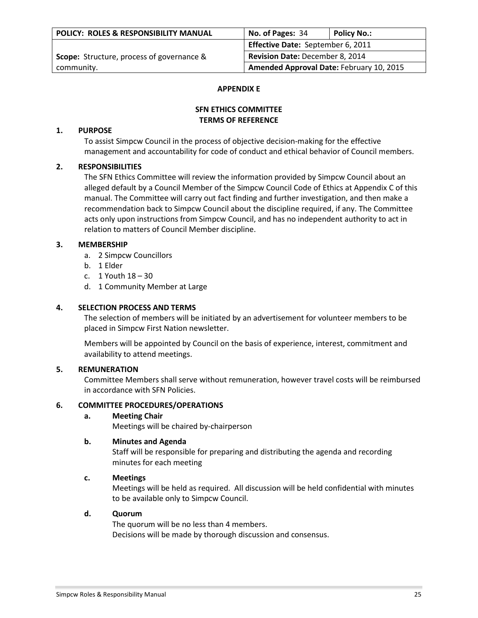| POLICY: ROLES & RESPONSIBILITY MANUAL            | No. of Pages: 34                         | <b>Policy No.:</b> |
|--------------------------------------------------|------------------------------------------|--------------------|
|                                                  | Effective Date: September 6, 2011        |                    |
| <b>Scope:</b> Structure, process of governance & | Revision Date: December 8, 2014          |                    |
| community.                                       | Amended Approval Date: February 10, 2015 |                    |

#### **APPENDIX E**

## **SFN ETHICS COMMITTEE TERMS OF REFERENCE**

## **1. PURPOSE**

To assist Simpcw Council in the process of objective decision-making for the effective management and accountability for code of conduct and ethical behavior of Council members.

## **2. RESPONSIBILITIES**

The SFN Ethics Committee will review the information provided by Simpcw Council about an alleged default by a Council Member of the Simpcw Council Code of Ethics at Appendix C of this manual. The Committee will carry out fact finding and further investigation, and then make a recommendation back to Simpcw Council about the discipline required, if any. The Committee acts only upon instructions from Simpcw Council, and has no independent authority to act in relation to matters of Council Member discipline.

## **3. MEMBERSHIP**

- a. 2 Simpcw Councillors
- b. 1 Elder
- c. 1 Youth 18 30
- d. 1 Community Member at Large

## **4. SELECTION PROCESS AND TERMS**

The selection of members will be initiated by an advertisement for volunteer members to be placed in Simpcw First Nation newsletter.

Members will be appointed by Council on the basis of experience, interest, commitment and availability to attend meetings.

## **5. REMUNERATION**

Committee Members shall serve without remuneration, however travel costs will be reimbursed in accordance with SFN Policies.

### **6. COMMITTEE PROCEDURES/OPERATIONS**

### **a. Meeting Chair**

Meetings will be chaired by-chairperson

### **b. Minutes and Agenda**

Staff will be responsible for preparing and distributing the agenda and recording minutes for each meeting

### **c. Meetings**

Meetings will be held as required. All discussion will be held confidential with minutes to be available only to Simpcw Council.

### **d. Quorum**

The quorum will be no less than 4 members. Decisions will be made by thorough discussion and consensus.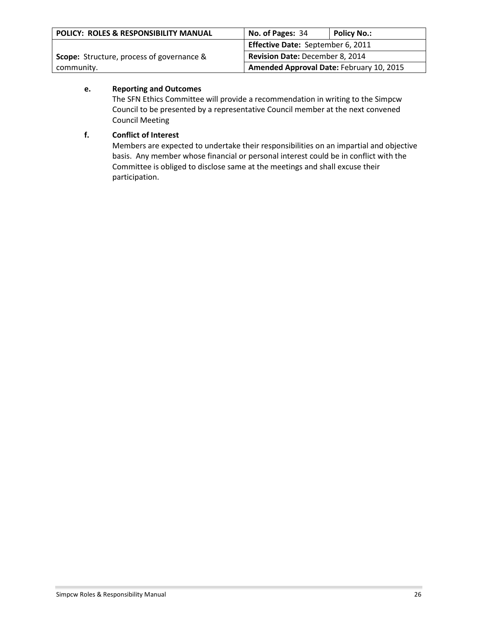| POLICY: ROLES & RESPONSIBILITY MANUAL                                                      | No. of Pages: 34                         | <b>Policy No.:</b> |
|--------------------------------------------------------------------------------------------|------------------------------------------|--------------------|
|                                                                                            | Effective Date: September 6, 2011        |                    |
| <b>Revision Date: December 8, 2014</b><br><b>Scope:</b> Structure, process of governance & |                                          |                    |
| community.                                                                                 | Amended Approval Date: February 10, 2015 |                    |

# **e. Reporting and Outcomes**

The SFN Ethics Committee will provide a recommendation in writing to the Simpcw Council to be presented by a representative Council member at the next convened Council Meeting

# **f. Conflict of Interest**

Members are expected to undertake their responsibilities on an impartial and objective basis. Any member whose financial or personal interest could be in conflict with the Committee is obliged to disclose same at the meetings and shall excuse their participation.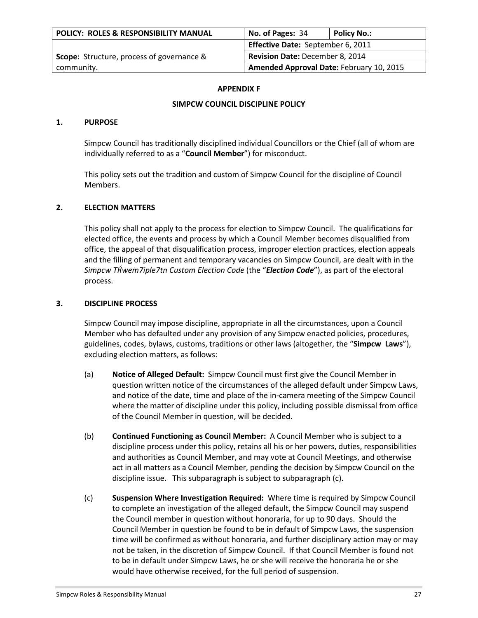| POLICY: ROLES & RESPONSIBILITY MANUAL            | No. of Pages: 34                                                     | Policy No.: |
|--------------------------------------------------|----------------------------------------------------------------------|-------------|
|                                                  | Effective Date: September 6, 2011<br>Revision Date: December 8, 2014 |             |
| <b>Scope:</b> Structure, process of governance & |                                                                      |             |
| community.                                       | Amended Approval Date: February 10, 2015                             |             |

#### **APPENDIX F**

## **SIMPCW COUNCIL DISCIPLINE POLICY**

#### **1. PURPOSE**

Simpcw Council has traditionally disciplined individual Councillors or the Chief (all of whom are individually referred to as a "**Council Member**") for misconduct.

This policy sets out the tradition and custom of Simpcw Council for the discipline of Council Members.

### **2. ELECTION MATTERS**

This policy shall not apply to the process for election to Simpcw Council. The qualifications for elected office, the events and process by which a Council Member becomes disqualified from office, the appeal of that disqualification process, improper election practices, election appeals and the filling of permanent and temporary vacancies on Simpcw Council, are dealt with in the *Simpcw TЌwem7iple7tn Custom Election Code* (the "*Election Code*"), as part of the electoral process.

#### **3. DISCIPLINE PROCESS**

Simpcw Council may impose discipline, appropriate in all the circumstances, upon a Council Member who has defaulted under any provision of any Simpcw enacted policies, procedures, guidelines, codes, bylaws, customs, traditions or other laws (altogether, the "**Simpcw Laws**"), excluding election matters, as follows:

- (a) **Notice of Alleged Default:** Simpcw Council must first give the Council Member in question written notice of the circumstances of the alleged default under Simpcw Laws, and notice of the date, time and place of the in-camera meeting of the Simpcw Council where the matter of discipline under this policy, including possible dismissal from office of the Council Member in question, will be decided.
- (b) **Continued Functioning as Council Member:** A Council Member who is subject to a discipline process under this policy, retains all his or her powers, duties, responsibilities and authorities as Council Member, and may vote at Council Meetings, and otherwise act in all matters as a Council Member, pending the decision by Simpcw Council on the discipline issue. This subparagraph is subject to subparagraph (c).
- (c) **Suspension Where Investigation Required:** Where time is required by Simpcw Council to complete an investigation of the alleged default, the Simpcw Council may suspend the Council member in question without honoraria, for up to 90 days. Should the Council Member in question be found to be in default of Simpcw Laws, the suspension time will be confirmed as without honoraria, and further disciplinary action may or may not be taken, in the discretion of Simpcw Council. If that Council Member is found not to be in default under Simpcw Laws, he or she will receive the honoraria he or she would have otherwise received, for the full period of suspension.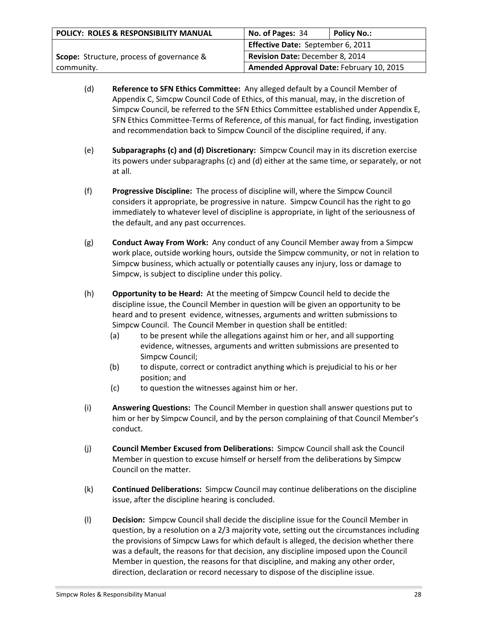| POLICY: ROLES & RESPONSIBILITY MANUAL            | No. of Pages: 34                                                     | <b>Policy No.:</b> |
|--------------------------------------------------|----------------------------------------------------------------------|--------------------|
|                                                  | Effective Date: September 6, 2011<br>Revision Date: December 8, 2014 |                    |
| <b>Scope:</b> Structure, process of governance & |                                                                      |                    |
| community.                                       | Amended Approval Date: February 10, 2015                             |                    |

- (d) **Reference to SFN Ethics Committee:** Any alleged default by a Council Member of Appendix C, Simcpw Council Code of Ethics, of this manual, may, in the discretion of Simpcw Council, be referred to the SFN Ethics Committee established under Appendix E, SFN Ethics Committee-Terms of Reference, of this manual, for fact finding, investigation and recommendation back to Simpcw Council of the discipline required, if any.
- (e) **Subparagraphs (c) and (d) Discretionary:** Simpcw Council may in its discretion exercise its powers under subparagraphs (c) and (d) either at the same time, or separately, or not at all.
- (f) **Progressive Discipline:** The process of discipline will, where the Simpcw Council considers it appropriate, be progressive in nature. Simpcw Council has the right to go immediately to whatever level of discipline is appropriate, in light of the seriousness of the default, and any past occurrences.
- (g) **Conduct Away From Work:** Any conduct of any Council Member away from a Simpcw work place, outside working hours, outside the Simpcw community, or not in relation to Simpcw business, which actually or potentially causes any injury, loss or damage to Simpcw, is subject to discipline under this policy.
- (h) **Opportunity to be Heard:** At the meeting of Simpcw Council held to decide the discipline issue, the Council Member in question will be given an opportunity to be heard and to present evidence, witnesses, arguments and written submissions to Simpcw Council. The Council Member in question shall be entitled:
	- (a) to be present while the allegations against him or her, and all supporting evidence, witnesses, arguments and written submissions are presented to Simpcw Council;
	- (b) to dispute, correct or contradict anything which is prejudicial to his or her position; and
	- (c) to question the witnesses against him or her.
- (i) **Answering Questions:** The Council Member in question shall answer questions put to him or her by Simpcw Council, and by the person complaining of that Council Member's conduct.
- (j) **Council Member Excused from Deliberations:** Simpcw Council shall ask the Council Member in question to excuse himself or herself from the deliberations by Simpcw Council on the matter.
- (k) **Continued Deliberations:** Simpcw Council may continue deliberations on the discipline issue, after the discipline hearing is concluded.
- (l) **Decision:** Simpcw Council shall decide the discipline issue for the Council Member in question, by a resolution on a 2/3 majority vote, setting out the circumstances including the provisions of Simpcw Laws for which default is alleged, the decision whether there was a default, the reasons for that decision, any discipline imposed upon the Council Member in question, the reasons for that discipline, and making any other order, direction, declaration or record necessary to dispose of the discipline issue.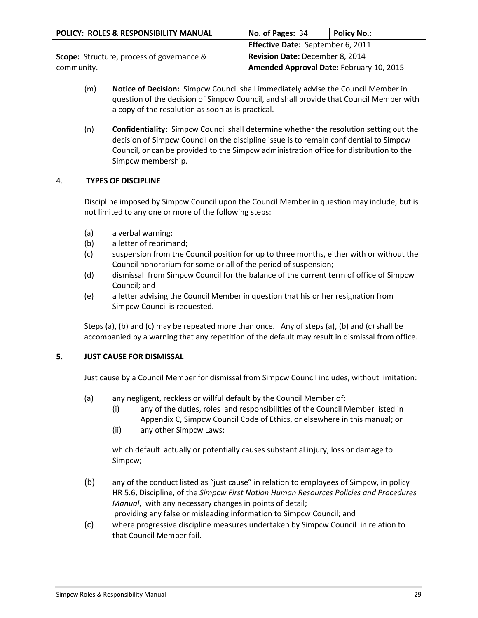| POLICY: ROLES & RESPONSIBILITY MANUAL            | No. of Pages: 34                         | <b>Policy No.:</b> |
|--------------------------------------------------|------------------------------------------|--------------------|
|                                                  | Effective Date: September 6, 2011        |                    |
| <b>Scope:</b> Structure, process of governance & | Revision Date: December 8, 2014          |                    |
| community.                                       | Amended Approval Date: February 10, 2015 |                    |

- (m) **Notice of Decision:** Simpcw Council shall immediately advise the Council Member in question of the decision of Simpcw Council, and shall provide that Council Member with a copy of the resolution as soon as is practical.
- (n) **Confidentiality:** Simpcw Council shall determine whether the resolution setting out the decision of Simpcw Council on the discipline issue is to remain confidential to Simpcw Council, or can be provided to the Simpcw administration office for distribution to the Simpcw membership.

# 4. **TYPES OF DISCIPLINE**

Discipline imposed by Simpcw Council upon the Council Member in question may include, but is not limited to any one or more of the following steps:

- (a) a verbal warning;
- (b) a letter of reprimand;
- (c) suspension from the Council position for up to three months, either with or without the Council honorarium for some or all of the period of suspension;
- (d) dismissal from Simpcw Council for the balance of the current term of office of Simpcw Council; and
- (e) a letter advising the Council Member in question that his or her resignation from Simpcw Council is requested.

Steps (a), (b) and (c) may be repeated more than once. Any of steps (a), (b) and (c) shall be accompanied by a warning that any repetition of the default may result in dismissal from office.

### **5. JUST CAUSE FOR DISMISSAL**

Just cause by a Council Member for dismissal from Simpcw Council includes, without limitation:

- (a) any negligent, reckless or willful default by the Council Member of:
	- (i) any of the duties, roles and responsibilities of the Council Member listed in Appendix C, Simpcw Council Code of Ethics, or elsewhere in this manual; or
	- (ii) any other Simpcw Laws;

which default actually or potentially causes substantial injury, loss or damage to Simpcw;

(b) any of the conduct listed as "just cause" in relation to employees of Simpcw, in policy HR 5.6, Discipline, of the *Simpcw First Nation Human Resources Policies and Procedures Manual*, with any necessary changes in points of detail;

providing any false or misleading information to Simpcw Council; and

(c) where progressive discipline measures undertaken by Simpcw Council in relation to that Council Member fail.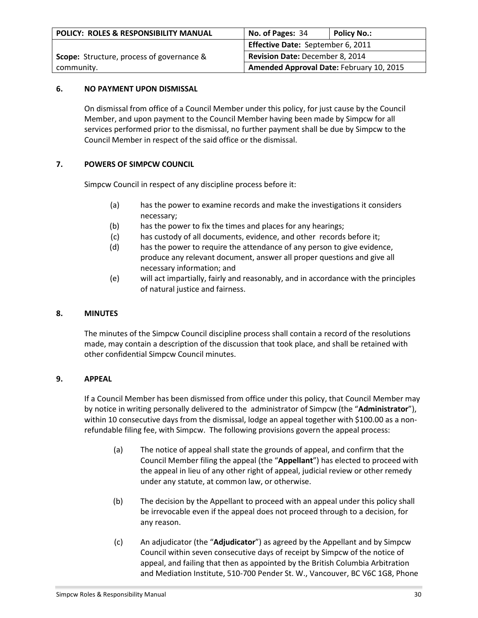| <b>POLICY: ROLES &amp; RESPONSIBILITY MANUAL</b> | No. of Pages: 34                         | Policy No.: |
|--------------------------------------------------|------------------------------------------|-------------|
|                                                  | Effective Date: September 6, 2011        |             |
| <b>Scope:</b> Structure, process of governance & | <b>Revision Date: December 8, 2014</b>   |             |
| community.                                       | Amended Approval Date: February 10, 2015 |             |

## **6. NO PAYMENT UPON DISMISSAL**

On dismissal from office of a Council Member under this policy, for just cause by the Council Member, and upon payment to the Council Member having been made by Simpcw for all services performed prior to the dismissal, no further payment shall be due by Simpcw to the Council Member in respect of the said office or the dismissal.

# **7. POWERS OF SIMPCW COUNCIL**

Simpcw Council in respect of any discipline process before it:

- (a) has the power to examine records and make the investigations it considers necessary;
- (b) has the power to fix the times and places for any hearings;
- (c) has custody of all documents, evidence, and other records before it;
- (d) has the power to require the attendance of any person to give evidence, produce any relevant document, answer all proper questions and give all necessary information; and
- (e) will act impartially, fairly and reasonably, and in accordance with the principles of natural justice and fairness.

## **8. MINUTES**

The minutes of the Simpcw Council discipline process shall contain a record of the resolutions made, may contain a description of the discussion that took place, and shall be retained with other confidential Simpcw Council minutes.

### **9. APPEAL**

If a Council Member has been dismissed from office under this policy, that Council Member may by notice in writing personally delivered to the administrator of Simpcw (the "**Administrator**"), within 10 consecutive days from the dismissal, lodge an appeal together with \$100.00 as a nonrefundable filing fee, with Simpcw. The following provisions govern the appeal process:

- (a) The notice of appeal shall state the grounds of appeal, and confirm that the Council Member filing the appeal (the "**Appellant**") has elected to proceed with the appeal in lieu of any other right of appeal, judicial review or other remedy under any statute, at common law, or otherwise.
- (b) The decision by the Appellant to proceed with an appeal under this policy shall be irrevocable even if the appeal does not proceed through to a decision, for any reason.
- (c) An adjudicator (the "**Adjudicator**") as agreed by the Appellant and by Simpcw Council within seven consecutive days of receipt by Simpcw of the notice of appeal, and failing that then as appointed by the British Columbia Arbitration and Mediation Institute, 510-700 Pender St. W., Vancouver, BC V6C 1G8, Phone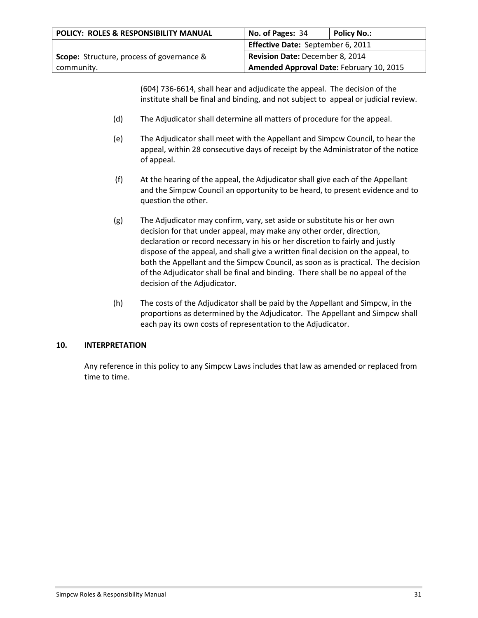| <b>POLICY: ROLES &amp; RESPONSIBILITY MANUAL</b> | No. of Pages: 34                         | <b>Policy No.:</b> |
|--------------------------------------------------|------------------------------------------|--------------------|
|                                                  | Effective Date: September 6, 2011        |                    |
| <b>Scope:</b> Structure, process of governance & | <b>Revision Date: December 8, 2014</b>   |                    |
| community.                                       | Amended Approval Date: February 10, 2015 |                    |

(604) 736-6614, shall hear and adjudicate the appeal. The decision of the institute shall be final and binding, and not subject to appeal or judicial review.

- (d) The Adjudicator shall determine all matters of procedure for the appeal.
- (e) The Adjudicator shall meet with the Appellant and Simpcw Council, to hear the appeal, within 28 consecutive days of receipt by the Administrator of the notice of appeal.
- (f) At the hearing of the appeal, the Adjudicator shall give each of the Appellant and the Simpcw Council an opportunity to be heard, to present evidence and to question the other.
- (g) The Adjudicator may confirm, vary, set aside or substitute his or her own decision for that under appeal, may make any other order, direction, declaration or record necessary in his or her discretion to fairly and justly dispose of the appeal, and shall give a written final decision on the appeal, to both the Appellant and the Simpcw Council, as soon as is practical. The decision of the Adjudicator shall be final and binding. There shall be no appeal of the decision of the Adjudicator.
- (h) The costs of the Adjudicator shall be paid by the Appellant and Simpcw, in the proportions as determined by the Adjudicator. The Appellant and Simpcw shall each pay its own costs of representation to the Adjudicator.

### **10. INTERPRETATION**

Any reference in this policy to any Simpcw Laws includes that law as amended or replaced from time to time.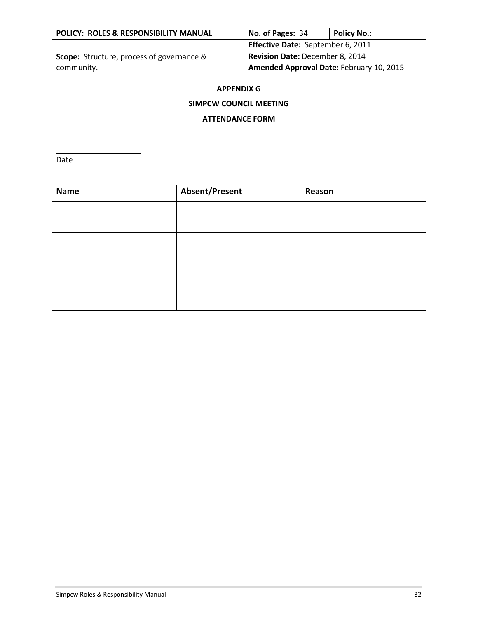| POLICY: ROLES & RESPONSIBILITY MANUAL            | No. of Pages: 34                         | <b>Policy No.:</b> |
|--------------------------------------------------|------------------------------------------|--------------------|
|                                                  | Effective Date: September 6, 2011        |                    |
| <b>Scope:</b> Structure, process of governance & | Revision Date: December 8, 2014          |                    |
| community.                                       | Amended Approval Date: February 10, 2015 |                    |

### **APPENDIX G**

## **SIMPCW COUNCIL MEETING**

### **ATTENDANCE FORM**

Date

| <b>Name</b> | <b>Absent/Present</b> | Reason |
|-------------|-----------------------|--------|
|             |                       |        |
|             |                       |        |
|             |                       |        |
|             |                       |        |
|             |                       |        |
|             |                       |        |
|             |                       |        |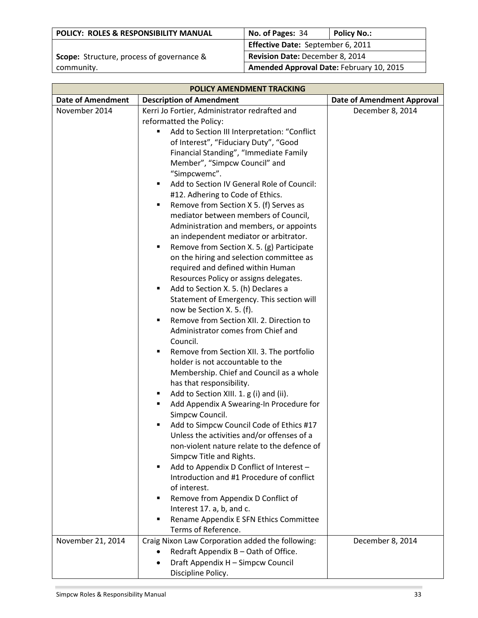| POLICY: ROLES & RESPONSIBILITY MANUAL            | No. of Pages: 34                         | <b>Policy No.:</b> |
|--------------------------------------------------|------------------------------------------|--------------------|
|                                                  | <b>Effective Date: September 6, 2011</b> |                    |
| <b>Scope:</b> Structure, process of governance & | Revision Date: December 8, 2014          |                    |
| community.                                       | Amended Approval Date: February 10, 2015 |                    |

| POLICY AMENDMENT TRACKING |                                                                                                                                                                                                                                                                                                                                                                                                                                                                                                                                                                                                                                                              |                                   |
|---------------------------|--------------------------------------------------------------------------------------------------------------------------------------------------------------------------------------------------------------------------------------------------------------------------------------------------------------------------------------------------------------------------------------------------------------------------------------------------------------------------------------------------------------------------------------------------------------------------------------------------------------------------------------------------------------|-----------------------------------|
| <b>Date of Amendment</b>  | <b>Description of Amendment</b>                                                                                                                                                                                                                                                                                                                                                                                                                                                                                                                                                                                                                              | <b>Date of Amendment Approval</b> |
| November 2014             | Kerri Jo Fortier, Administrator redrafted and<br>reformatted the Policy:<br>Add to Section III Interpretation: "Conflict<br>٠<br>of Interest", "Fiduciary Duty", "Good<br>Financial Standing", "Immediate Family<br>Member", "Simpcw Council" and<br>"Simpcwemc".<br>Add to Section IV General Role of Council:<br>٠<br>#12. Adhering to Code of Ethics.<br>Remove from Section X 5. (f) Serves as<br>$\blacksquare$<br>mediator between members of Council,<br>Administration and members, or appoints<br>an independent mediator or arbitrator.<br>Remove from Section X. 5. (g) Participate<br>$\blacksquare$<br>on the hiring and selection committee as | December 8, 2014                  |
|                           | required and defined within Human<br>Resources Policy or assigns delegates.<br>Add to Section X. 5. (h) Declares a<br>$\blacksquare$<br>Statement of Emergency. This section will<br>now be Section X. 5. (f).<br>Remove from Section XII. 2. Direction to<br>٠<br>Administrator comes from Chief and<br>Council.<br>Remove from Section XII. 3. The portfolio<br>$\blacksquare$<br>holder is not accountable to the<br>Membership. Chief and Council as a whole<br>has that responsibility.<br>Add to Section XIII. 1. g (i) and (ii).<br>٠<br>Add Appendix A Swearing-In Procedure for<br>٠<br>Simpcw Council.                                             |                                   |
|                           | Add to Simpcw Council Code of Ethics #17<br>٠<br>Unless the activities and/or offenses of a<br>non-violent nature relate to the defence of<br>Simpcw Title and Rights.<br>Add to Appendix D Conflict of Interest -<br>٠<br>Introduction and #1 Procedure of conflict<br>of interest.<br>Remove from Appendix D Conflict of<br>٠<br>Interest 17. a, b, and c.<br>Rename Appendix E SFN Ethics Committee<br>٠<br>Terms of Reference.                                                                                                                                                                                                                           |                                   |
| November 21, 2014         | Craig Nixon Law Corporation added the following:<br>Redraft Appendix B - Oath of Office.<br>$\bullet$<br>Draft Appendix H - Simpcw Council<br>Discipline Policy.                                                                                                                                                                                                                                                                                                                                                                                                                                                                                             | December 8, 2014                  |